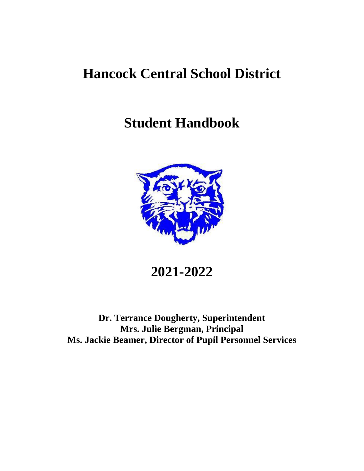# **Hancock Central School District**

# **Student Handbook**



**2021-2022**

**Dr. Terrance Dougherty, Superintendent Mrs. Julie Bergman, Principal Ms. Jackie Beamer, Director of Pupil Personnel Services**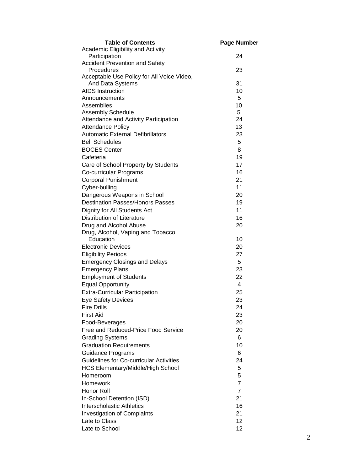| <b>Table of Contents</b>                                       | <b>Page Number</b> |
|----------------------------------------------------------------|--------------------|
| Academic Eligibility and Activity                              |                    |
| Participation                                                  | 24                 |
| <b>Accident Prevention and Safety</b>                          |                    |
| Procedures                                                     | 23                 |
| Acceptable Use Policy for All Voice Video,<br>And Data Systems | 31                 |
| <b>AIDS Instruction</b>                                        | 10                 |
| Announcements                                                  | 5                  |
| Assemblies                                                     | 10                 |
| <b>Assembly Schedule</b>                                       | 5                  |
| Attendance and Activity Participation                          | 24                 |
| <b>Attendance Policy</b>                                       | 13                 |
| <b>Automatic External Defibrillators</b>                       | 23                 |
| <b>Bell Schedules</b>                                          | 5                  |
| <b>BOCES Center</b>                                            | 8                  |
| Cafeteria                                                      | 19                 |
| Care of School Property by Students                            | 17                 |
| Co-curricular Programs                                         | 16                 |
| <b>Corporal Punishment</b>                                     | 21                 |
| Cyber-bulling                                                  | 11                 |
| Dangerous Weapons in School                                    | 20                 |
| <b>Destination Passes/Honors Passes</b>                        | 19                 |
| Dignity for All Students Act                                   | 11                 |
| <b>Distribution of Literature</b>                              | 16                 |
| Drug and Alcohol Abuse                                         | 20                 |
| Drug, Alcohol, Vaping and Tobacco                              |                    |
| Education                                                      | 10                 |
| <b>Electronic Devices</b>                                      | 20                 |
| <b>Eligibility Periods</b>                                     | 27                 |
| <b>Emergency Closings and Delays</b>                           | 5                  |
| <b>Emergency Plans</b>                                         | 23                 |
| <b>Employment of Students</b>                                  | 22                 |
| <b>Equal Opportunity</b>                                       | $\overline{4}$     |
| <b>Extra-Curricular Participation</b>                          | 25                 |
| <b>Eye Safety Devices</b>                                      | 23                 |
| <b>Fire Drills</b>                                             | 24                 |
| <b>First Aid</b>                                               | 23                 |
| Food-Beverages                                                 | 20                 |
| Free and Reduced-Price Food Service                            | 20                 |
| <b>Grading Systems</b>                                         | 6                  |
| <b>Graduation Requirements</b>                                 | 10                 |
| <b>Guidance Programs</b>                                       | 6                  |
| <b>Guidelines for Co-curricular Activities</b>                 | 24                 |
| <b>HCS Elementary/Middle/High School</b>                       | 5                  |
| Homeroom                                                       | 5                  |
| <b>Homework</b>                                                | $\overline{7}$     |
| Honor Roll                                                     | $\overline{7}$     |
| In-School Detention (ISD)                                      | 21                 |
| <b>Interscholastic Athletics</b>                               | 16                 |
| <b>Investigation of Complaints</b>                             | 21                 |
| Late to Class                                                  | 12                 |
| Late to School                                                 | 12                 |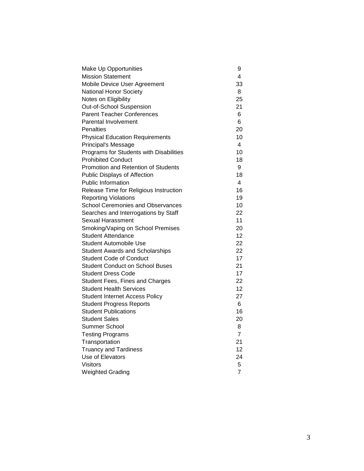| Make Up Opportunities                    | 9                 |
|------------------------------------------|-------------------|
| <b>Mission Statement</b>                 | 4                 |
| Mobile Device User Agreement             | 33                |
| National Honor Society                   | 8                 |
| Notes on Eligibility                     | 25                |
| Out-of-School Suspension                 | 21                |
| <b>Parent Teacher Conferences</b>        | 6                 |
| Parental Involvement                     | 6                 |
| Penalties                                | 20                |
| <b>Physical Education Requirements</b>   | 10                |
| Principal's Message                      | 4                 |
| Programs for Students with Disabilities  | 10                |
| <b>Prohibited Conduct</b>                | 18                |
| Promotion and Retention of Students      | 9                 |
| <b>Public Displays of Affection</b>      | 18                |
| <b>Public Information</b>                | 4                 |
| Release Time for Religious Instruction   | 16                |
| <b>Reporting Violations</b>              | 19                |
| <b>School Ceremonies and Observances</b> | 10                |
| Searches and Interrogations by Staff     | 22                |
| Sexual Harassment                        | 11                |
| Smoking/Vaping on School Premises        | 20                |
| Student Attendance                       | $12 \overline{ }$ |
| <b>Student Automobile Use</b>            | 22                |
| <b>Student Awards and Scholarships</b>   | 22                |
| <b>Student Code of Conduct</b>           | 17                |
| <b>Student Conduct on School Buses</b>   | 21                |
| <b>Student Dress Code</b>                | 17                |
| Student Fees, Fines and Charges          | 22                |
| <b>Student Health Services</b>           | 12 <sup>2</sup>   |
| <b>Student Internet Access Policy</b>    | 27                |
| <b>Student Progress Reports</b>          | 6                 |
| <b>Student Publications</b>              | 16                |
| <b>Student Sales</b>                     | 20                |
| <b>Summer School</b>                     | 8                 |
| <b>Testing Programs</b>                  | $\overline{7}$    |
| Transportation                           | 21                |
| <b>Truancy and Tardiness</b>             | 12                |
| Use of Elevators                         | 24                |
| <b>Visitors</b>                          | 5.                |
| <b>Weighted Grading</b>                  | 7                 |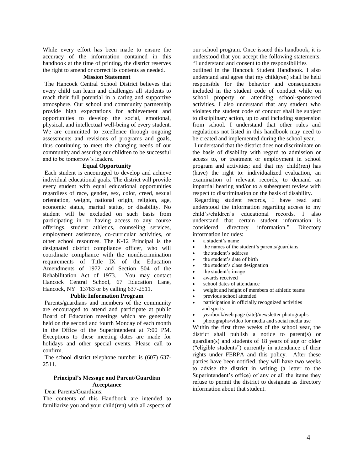While every effort has been made to ensure the accuracy of the information contained in this handbook at the time of printing, the district reserves the right to amend or correct its contents as needed.

#### **Mission Statement**

The Hancock Central School District believes that every child can learn and challenges all students to reach their full potential in a caring and supportive atmosphere. Our school and community partnership provide high expectations for achievement and opportunities to develop the social, emotional, physical, and intellectual well-being of every student. We are committed to excellence through ongoing assessments and revisions of programs and goals, thus continuing to meet the changing needs of our community and assuring our children to be successful and to be tomorrow's leaders.

#### **Equal Opportunity**

Each student is encouraged to develop and achieve individual educational goals. The district will provide every student with equal educational opportunities regardless of race, gender, sex, color, creed, sexual orientation, weight, national origin, religion, age, economic status, marital status, or disability. No student will be excluded on such basis from participating in or having access to any course offerings, student athletics, counseling services, employment assistance, co-curricular activities, or other school resources. The K-12 Principal is the designated district compliance officer, who will coordinate compliance with the nondiscrimination requirements of Title IX of the Education Amendments of 1972 and Section 504 of the Rehabilitation Act of 1973. You may contact Hancock Central School, 67 Education Lane, Hancock, NY 13783 or by calling 637-2511.

# **Public Information Program**

Parents/guardians and members of the community are encouraged to attend and participate at public Board of Education meetings which are generally held on the second and fourth Monday of each month in the Office of the Superintendent at 7:00 PM. Exceptions to these meeting dates are made for holidays and other special events. Please call to confirm.

The school district telephone number is (607) 637- 2511.

# **Principal's Message and Parent/Guardian Acceptance**

Dear Parents/Guardians:

The contents of this Handbook are intended to familiarize you and your child(ren) with all aspects of our school program. Once issued this handbook, it is understood that you accept the following statements. "I understand and consent to the responsibilities

outlined in the Hancock Student Handbook. I also understand and agree that my child(ren) shall be held responsible for the behavior and consequences included in the student code of conduct while on school property or attending school-sponsored activities. I also understand that any student who violates the student code of conduct shall be subject to disciplinary action, up to and including suspension from school. I understand that other rules and regulations not listed in this handbook may need to be created and implemented during the school year.

I understand that the district does not discriminate on the basis of disability with regard to admission or access to, or treatment or employment in school program and activities; and that my child(ren) has (have) the right to: individualized evaluation, an examination of relevant records, to demand an impartial hearing and/or to a subsequent review with respect to discrimination on the basis of disability.

Regarding student records, I have read and understood the information regarding access to my child's/children's educational records. I also understand that certain student information is considered directory information." Directory information includes:

- a student's name
- the names of the student's parents/guardians
- the student's address
- the student's date of birth
- the student's class designation
- the student's image
- awards received
- school dates of attendance
- weight and height of members of athletic teams
- previous school attended
- participation in officially recognized activities and sports
- vearbook/web page (site)/newsletter photographs
- photographs/video for media and social media use

Within the first three weeks of the school year, the district shall publish a notice to parent(s) or guardian(s) and students of 18 years of age or older ("eligible students") currently in attendance of their rights under FERPA and this policy. After these parties have been notified, they will have two weeks to advise the district in writing (a letter to the Superintendent's office) of any or all the items they refuse to permit the district to designate as directory information about that student.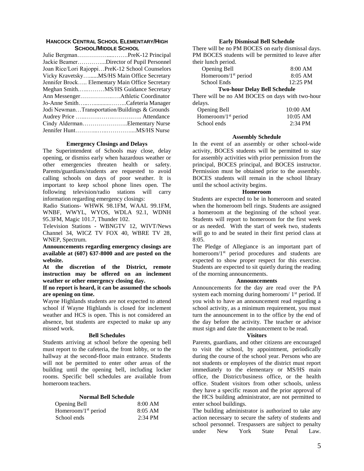#### **HANCOCK CENTRAL SCHOOL ELEMENTARY/HIGH SCHOOL/MIDDLE SCHOOL**

| Julie BergmanPreK-12 Principal                  |  |
|-------------------------------------------------|--|
| Jackie BeamerDirector of Pupil Personnel        |  |
| Joan Rice/Lori RajoppiPreK-12 School Counselors |  |
| Vicky KravetskyMS/HS Main Office Secretary      |  |
| Jennifer Brock Elementary Main Office Secretary |  |
| Meghan SmithMS/HS Guidance Secretary            |  |
|                                                 |  |
| Jo-Anne SmithCafeteria Manager                  |  |
| Jodi NewmanTransportation/Buildings & Grounds   |  |
|                                                 |  |
| Cindy AldermanElementary Nurse                  |  |
|                                                 |  |

#### **Emergency Closings and Delays**

The Superintendent of Schools may close, delay opening, or dismiss early when hazardous weather or other emergencies threaten health or safety. Parents/guardians/students are requested to avoid calling schools on days of poor weather. It is important to keep school phone lines open. The following television/radio stations will carry information regarding emergency closings:

 Radio Stations- WHWK 98.1FM, WAAL 99.1FM, WNBF, WWYL, WYOS, WDLA 92.1, WDNH 95.3FM, Magic 101.7, Thunder 102.

 Television Stations - WBNGTV 12, WIVT/News Channel 34, WICZ TV FOX 40, WBRE TV 28, WNEP, Spectrum.

**Announcements regarding emergency closings are available at (607) 637-8000 and are posted on the website.**

**At the discretion of the District, remote instruction may be offered on an inclement weather or other emergency closing day.**

**If no report is heard, it can be assumed the schools are opening on time.**

Wayne Highlands students are not expected to attend school if Wayne Highlands is closed for inclement weather and HCS is open. This is not considered an absence, but students are expected to make up any missed work.

#### **Bell Schedules**

Students arriving at school before the opening bell must report to the cafeteria, the front lobby, or to the hallway at the second-floor main entrance. Students will not be permitted to enter other areas of the building until the opening bell, including locker rooms. Specific bell schedules are available from homeroom teachers.

# **Normal Bell Schedule**

| Opening Bell                    | 8:00 AM   |
|---------------------------------|-----------|
| Homeroom/1 <sup>st</sup> period | $8:05$ AM |
| School ends                     | $2:34$ PM |

### **Early Dismissal Bell Schedule**

There will be no PM BOCES on early dismissal days. PM BOCES students will be permitted to leave after their lunch period.

| Opening Bell           | 8:00 AM    |
|------------------------|------------|
| Homeroom/ $1st$ period | $8:05$ AM  |
| School Ends            | $12:25$ PM |

#### **Two-hour Delay Bell Schedule**

There will be no AM BOCES on days with two-hour delays.

| <b>Opening Bell</b>    | 10:00 AM   |
|------------------------|------------|
| Homeroom/ $1st$ period | $10:05$ AM |
| School ends            | $2:34$ PM  |

### **Assembly Schedule**

In the event of an assembly or other school-wide activity, BOCES students will be permitted to stay for assembly activities with prior permission from the principal, BOCES principal, and BOCES instructor. Permission must be obtained prior to the assembly. BOCES students will remain in the school library until the school activity begins.

#### **Homeroom**

Students are expected to be in homeroom and seated when the homeroom bell rings. Students are assigned a homeroom at the beginning of the school year. Students will report to homeroom for the first week or as needed. With the start of week two, students will go to and be seated in their first period class at 8:05.

The Pledge of Allegiance is an important part of homeroom/1<sup>st</sup> period procedures and students are expected to show proper respect for this exercise. Students are expected to sit quietly during the reading of the morning announcements.

#### **Announcements**

Announcements for the day are read over the PA system each morning during homeroom/ 1<sup>st</sup> period. If you wish to have an announcement read regarding a school activity, as a minimum requirement, you must turn the announcement in to the office by the end of the day before the activity. The teacher or advisor must sign and date the announcement to be read.

#### **Visitors**

Parents, guardians, and other citizens are encouraged to visit the school, by appointment, periodically during the course of the school year. Persons who are not students or employees of the district must report immediately to the elementary or MS/HS main office, the District/business office, or the health office. Student visitors from other schools, unless they have a specific reason and the prior approval of the HCS building administrator, are not permitted to enter school buildings.

The building administrator is authorized to take any action necessary to secure the safety of students and school personnel. Trespassers are subject to penalty under New York State Penal Law.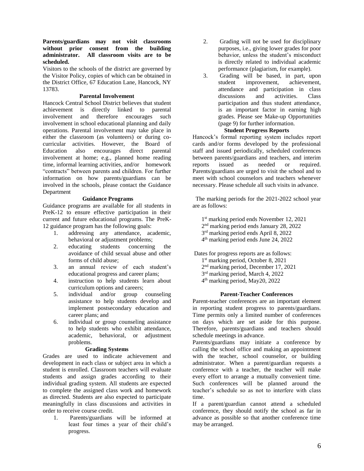# **Parents/guardians may not visit classrooms without prior consent from the building administrator. All classroom visits are to be scheduled.**

Visitors to the schools of the district are governed by the Visitor Policy, copies of which can be obtained in the District Office, 67 Education Lane, Hancock, NY 13783.

# **Parental Involvement**

Hancock Central School District believes that student achievement is directly linked to parental involvement and therefore encourages such involvement in school educational planning and daily operations. Parental involvement may take place in either the classroom (as volunteers) or during cocurricular activities. However, the Board of Education also encourages direct parental involvement at home; e.g., planned home reading time, informal learning activities, and/or homework "contracts" between parents and children. For further information on how parents/guardians can be involved in the schools, please contact the Guidance Department

# **Guidance Programs**

Guidance programs are available for all students in PreK-12 to ensure effective participation in their current and future educational programs. The PreK-12 guidance program has the following goals:

- 1. addressing any attendance, academic, behavioral or adjustment problems;
- 2. educating students concerning the avoidance of child sexual abuse and other forms of child abuse;
- 3. an annual review of each student's educational progress and career plans;
- 4. instruction to help students learn about curriculum options and careers;
- 5. individual and/or group counseling assistance to help students develop and implement postsecondary education and career plans; and
- 6. individual or group counseling assistance to help students who exhibit attendance, academic, behavioral, or adjustment problems.

#### **Grading Systems**

Grades are used to indicate achievement and development in each class or subject area in which a student is enrolled. Classroom teachers will evaluate students and assign grades according to their individual grading system. All students are expected to complete the assigned class work and homework as directed. Students are also expected to participate meaningfully in class discussions and activities in order to receive course credit.

1. Parents/guardians will be informed at least four times a year of their child's progress.

- 2. Grading will not be used for disciplinary purposes, i.e., giving lower grades for poor behavior, unless the student's misconduct is directly related to individual academic performance (plagiarism, for example).
- 3. Grading will be based, in part, upon student improvement, achievement, attendance and participation in class discussions and activities. Class participation and thus student attendance, is an important factor in earning high grades. Please see Make-up Opportunities (page 9) for further information.

# **Student Progress Reports**

Hancock's formal reporting system includes report cards and/or forms developed by the professional staff and issued periodically, scheduled conferences between parents/guardians and teachers, and interim reports issued as needed or required. Parents/guardians are urged to visit the school and to meet with school counselors and teachers whenever necessary. Please schedule all such visits in advance.

The marking periods for the 2021-2022 school year are as follows:

 1 st marking period ends November 12, 2021 2 nd marking period ends January 28, 2022

- 3 rd marking period ends April 8, 2022
- 4 th marking period ends June 24, 2022

Dates for progress reports are as follows:

- 1 st marking period, October 8, 2021
- 2 nd marking period, December 17, 2021
- 3 rd marking period, March 4, 2022
- 4 th marking period, May20, 2022

# **Parent-Teacher Conferences**

Parent-teacher conferences are an important element in reporting student progress to parents/guardians. Time permits only a limited number of conferences on days which are set aside for this purpose. Therefore, parents/guardians and teachers should schedule meetings in advance.

Parents/guardians may initiate a conference by calling the school office and making an appointment with the teacher, school counselor, or building administrator. When a parent/guardian requests a conference with a teacher, the teacher will make every effort to arrange a mutually convenient time. Such conferences will be planned around the teacher's schedule so as not to interfere with class time.

If a parent/guardian cannot attend a scheduled conference, they should notify the school as far in advance as possible so that another conference time may be arranged.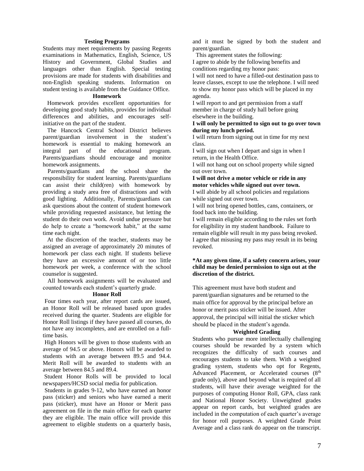#### **Testing Programs**

Students may meet requirements by passing Regents examinations in Mathematics, English, Science, US History and Government, Global Studies and languages other than English. Special testing provisions are made for students with disabilities and non-English speaking students. Information on student testing is available from the Guidance Office.

### **Homework**

 Homework provides excellent opportunities for developing good study habits, provides for individual differences and abilities, and encourages selfinitiative on the part of the student.

 The Hancock Central School District believes parent/guardian involvement in the student's homework is essential to making homework an integral part of the educational program. Parents/guardians should encourage and monitor homework assignments.

 Parents/guardians and the school share the responsibility for student learning. Parents/guardians can assist their child(ren) with homework by providing a study area free of distractions and with good lighting. Additionally, Parents/guardians can ask questions about the content of student homework while providing requested assistance, but letting the student do their own work. Avoid undue pressure but do help to create a "homework habit," at the same time each night.

 At the discretion of the teacher, students may be assigned an average of approximately 20 minutes of homework per class each night. If students believe they have an excessive amount of or too little homework per week, a conference with the school counselor is suggested.

 All homework assignments will be evaluated and counted towards each student's quarterly grade.

#### **Honor Roll**

Four times each year, after report cards are issued, an Honor Roll will be released based upon grades received during the quarter. Students are eligible for Honor Roll listings if they have passed all courses, do not have any incompletes, and are enrolled on a fulltime basis.

High Honors will be given to those students with an average of 94.5 or above. Honors will be awarded to students with an average between 89.5 and 94.4. Merit Roll will be awarded to students with an average between 84.5 and 89.4.

Student Honor Rolls will be provided to local newspapers/HCSD social media for publication.

Students in grades 9-12, who have earned an honor pass (sticker) and seniors who have earned a merit pass (sticker), must have an Honor or Merit pass agreement on file in the main office for each quarter they are eligible. The main office will provide this agreement to eligible students on a quarterly basis,

and it must be signed by both the student and parent/guardian.

This agreement states the following:

I agree to abide by the following benefits and conditions regarding my honor pass:

I will not need to have a filled-out destination pass to leave classes, except to use the telephone. I will need to show my honor pass which will be placed in my agenda.

I will report to and get permission from a staff member in charge of study hall before going elsewhere in the building.

# **I will only be permitted to sign out to go over town during my lunch period.**

I will return from signing out in time for my next class.

I will sign out when I depart and sign in when I return, in the Health Office.

I will not hang out on school property while signed out over town.

# **I will not drive a motor vehicle or ride in any motor vehicles while signed out over town.**

I will abide by all school policies and regulations while signed out over town.

I will not bring opened bottles, cans, containers, or food back into the building.

I will remain eligible according to the rules set forth for eligibility in my student handbook. Failure to remain eligible will result in my pass being revoked. I agree that misusing my pass may result in its being revoked.

# **\*At any given time, if a safety concern arises, your child may be denied permission to sign out at the discretion of the district.**

This agreement must have both student and parent/guardian signatures and be returned to the main office for approval by the principal before an honor or merit pass sticker will be issued. After approval, the principal will initial the sticker which should be placed in the student's agenda.

#### **Weighted Grading**

Students who pursue more intellectually challenging courses should be rewarded by a system which recognizes the difficulty of such courses and encourages students to take them. With a weighted grading system, students who opt for Regents, Advanced Placement, or Accelerated courses (8<sup>th</sup> grade only), above and beyond what is required of all students, will have their average weighted for the purposes of computing Honor Roll, GPA, class rank and National Honor Society. Unweighted grades appear on report cards, but weighted grades are included in the computation of each quarter's average for honor roll purposes. A weighted Grade Point Average and a class rank do appear on the transcript.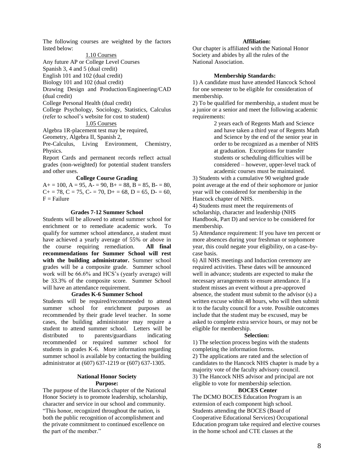The following courses are weighted by the factors listed below:

1.10 Courses

Any future AP or College Level Courses

Spanish 3, 4 and 5 (dual credit)

English 101 and 102 (dual credit)

Biology 101 and 102 (dual credit)

Drawing Design and Production/Engineering/CAD (dual credit)

College Personal Health (dual credit)

College Psychology, Sociology, Statistics, Calculus (refer to school's website for cost to student)

# 1.05 Courses

Algebra 1R-placement test may be required, Geometry, Algebra II, Spanish 2,

Pre-Calculus, Living Environment, Chemistry, Physics.

Report Cards and permanent records reflect actual grades (non-weighted) for potential student transfers and other uses.

#### **College Course Grading**

 $A+=100, A=95, A=-90, B+=88, B=85, B=-80,$  $C_{+} = 78$ ,  $C = 75$ ,  $C_{-} = 70$ ,  $D_{+} = 68$ ,  $D = 65$ ,  $D_{-} = 60$ ,  $F =$ Failure

# **Grades 7-12 Summer School**

Students will be allowed to attend summer school for enrichment or to remediate academic work. To qualify for summer school attendance, a student must have achieved a yearly average of 55% or above in the course requiring remediation. **All final recommendations for Summer School will rest with the building administrator.** Summer school grades will be a composite grade. Summer school work will be 66.6% and HCS's (yearly average) will be 33.3% of the composite score. Summer School will have an attendance requirement.

# **Grades K-6 Summer School**

Students will be required/recommended to attend summer school for enrichment purposes as recommended by their grade level teacher. In some cases, the building administrator may require a student to attend summer school. Letters will be distributed to parents/guardians indicating recommended or required summer school for students in grades K-6. More information regarding summer school is available by contacting the building administrator at (607) 637-1219 or (607) 637-1305.

#### **National Honor Society Purpose:**

The purpose of the Hancock chapter of the National Honor Society is to promote leadership, scholarship, character and service in our school and community. "This honor, recognized throughout the nation, is both the public recognition of accomplishment and the private commitment to continued excellence on the part of the member."

#### **Affiliation:**

Our chapter is affiliated with the National Honor Society and abides by all the rules of the National Association.

#### **Membership Standards:**

1) A candidate must have attended Hancock School for one semester to be eligible for consideration of membership.

2) To be qualified for membership, a student must be a junior or a senior and meet the following academic requirements:

> 2 years each of Regents Math and Science and have taken a third year of Regents Math and Science by the end of the senior year in order to be recognized as a member of NHS at graduation. Exceptions for transfer students or scheduling difficulties will be considered – however, upper-level track of academic courses must be maintained.

3) Students with a cumulative 90 weighted grade point average at the end of their sophomore or junior year will be considered for membership in the Hancock chapter of NHS.

4) Students must meet the requirements of scholarship, character and leadership (NHS Handbook, Part D) and service to be considered for membership.

5) Attendance requirement: If you have ten percent or more absences during your freshman or sophomore year, this could negate your eligibility, on a case-bycase basis.

6) All NHS meetings and Induction ceremony are required activities. These dates will be announced well in advance; students are expected to make the necessary arrangements to ensure attendance. If a student misses an event without a pre-approved absence, the student must submit to the advisor (s) a written excuse within 48 hours, who will then submit it to the faculty council for a vote. Possible outcomes include that the student may be excused, may be asked to complete extra service hours, or may not be eligible for membership.

#### **Selection:**

1) The selection process begins with the students completing the information forms.

2) The applications are rated and the selection of candidates to the Hancock NHS chapter is made by a majority vote of the faculty advisory council. 3) The Hancock NHS advisor and principal are not

eligible to vote for membership selection.

# **BOCES Center**

The DCMO BOCES Education Program is an extension of each component high school. Students attending the BOCES (Board of Cooperative Educational Services) Occupational Education program take required and elective courses in the home school and CTE classes at the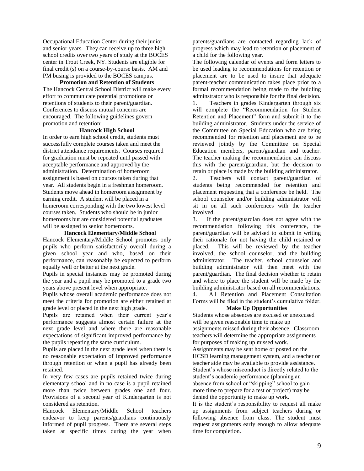Occupational Education Center during their junior and senior years. They can receive up to three high school credits over two years of study at the BOCES center in Trout Creek, NY. Students are eligible for final credit (s) on a course-by-course basis. AM and PM busing is provided to the BOCES campus.

# **Promotion and Retention of Students**

The Hancock Central School District will make every effort to communicate potential promotions or retentions of students to their parent/guardian. Conferences to discuss mutual concerns are encouraged. The following guidelines govern promotion and retention:

### **Hancock High School**

In order to earn high school credit, students must successfully complete courses taken and meet the district attendance requirements. Courses required for graduation must be repeated until passed with acceptable performance and approved by the administration. Determination of homeroom assignment is based on courses taken during that year. All students begin in a freshman homeroom. Students move ahead in homeroom assignment by earning credit. A student will be placed in a homeroom corresponding with the two lowest level courses taken. Students who should be in junior homerooms but are considered potential graduates will be assigned to senior homerooms.

#### **Hancock Elementary/Middle School**

Hancock Elementary/Middle School promotes only pupils who perform satisfactorily overall during a given school year and who, based on their performance, can reasonably be expected to perform equally well or better at the next grade.

Pupils in special instances may be promoted during the year and a pupil may be promoted to a grade two years above present level when appropriate.

Pupils whose overall academic performance does not meet the criteria for promotion are either retained at grade level or placed in the next high grade.

Pupils are retained when their current year's performance suggests almost certain failure at the next grade level and where there are reasonable expectations of significant improved performance by the pupils repeating the same curriculum.

Pupils are placed in the next grade level when there is no reasonable expectation of improved performance through retention or when a pupil has already been retained.

In very few cases are pupils retained twice during elementary school and in no case is a pupil retained more than twice between grades one and four. Provisions of a second year of Kindergarten is not considered as retention.

Hancock Elementary/Middle School teachers endeavor to keep parents/guardians continuously informed of pupil progress. There are several steps taken at specific times during the year when

parents/guardians are contacted regarding lack of progress which may lead to retention or placement of a child for the following year.

The following calendar of events and form letters to be used leading to recommendations for retention or placement are to be used to insure that adequate parent-teacher communication takes place prior to a formal recommendation being made to the buidling adminstrator who is responsible for the final decision.

1. Teachers in grades Kindergarten through six will complete the "Recommendation for Student Retention and Placement" form and submit it to the building administrator. Students under the service of the Committee on Special Education who are being recommended for retention and placement are to be reviewed jointly by the Committee on Special Education members, parent/guardian and teacher. The teacher making the recommendation can discuss this with the parent/guardian, but the decision to retain or place is made by the building administrator.

2. Teachers will contact parent/guardian of students being recommended for retention and placement requesting that a conference be held. The school counselor and/or building administrator will sit in on all such conferences with the teacher involved.

3. If the parent/guardian does not agree with the recommendation following this conference, the parent/guardian will be advised to submit in writing their rationale for not having the child retained or placed. This will be reviewed by the teacher involved, the school counselor, and the building administrator. The teacher, school counselor and building administrator will then meet with the parent/guardian. The final decision whether to retain and where to place the student will be made by the building administrator based on all recommendations. 4. All Retention and Placement Consultation Forms will be filed in the student's cumulative folder.

#### **Make Up Opportunities**

Students whose absences are excused or unexcused will be given reasonable time to make up assignments missed during their absence. Classroom teachers will determine the appropriate assignments for purposes of making up missed work. Assignments may be sent home or posted on the HCSD learning management system, and a teacher or teacher aide may be available to provide assistance. Student's whose misconduct is directly related to the student's academic performance (planning an absence from school or "skipping" school to gain more time to prepare for a test or project) may be denied the opportunity to make up work.

It is the student's responsibility to request all make up assignments from subject teachers during or following absence from class. The student must request assignments early enough to allow adequate time for completion.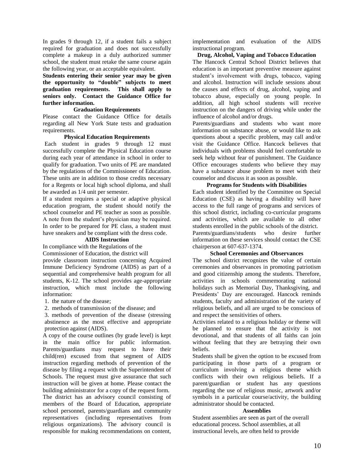In grades 9 through 12, if a student fails a subject required for graduation and does not successfully complete a makeup in a duly authorized summer school, the student must retake the same course again the following year, or an acceptable equivalent.

**Students entering their senior year may be given the opportunity to "double" subjects to meet graduation requirements. This shall apply to seniors only. Contact the Guidance Office for further information.**

#### **Graduation Requirements**

Please contact the Guidance Office for details regarding all New York State tests and graduation requirements.

#### **Physical Education Requirements**

Each student in grades 9 through 12 must successfully complete the Physical Education course during each year of attendance in school in order to qualify for graduation. Two units of PE are mandated by the regulations of the Commissioner of Education. These units are in addition to those credits necessary for a Regents or local high school diploma, and shall be awarded as 1/4 unit per semester.

If a student requires a special or adaptive physical education program, the student should notify the school counselor and PE teacher as soon as possible. A note from the student's physician may be required. In order to be prepared for PE class, a student must have sneakers and be compliant with the dress code.

# **AIDS Instruction**

In compliance with the Regulations of the Commissioner of Education, the district will provide classroom instruction concerning Acquired Immune Deficiency Syndrome (AIDS) as part of a sequential and comprehensive health program for all students, K-12. The school provides age-appropriate instruction, which must include the following information:

1. the nature of the disease;

2. methods of transmission of the disease; and

3. methods of prevention of the disease (stressing abstinence as the most effective and appropriate protection against (AIDS).

A copy of the course outlines (by grade level) is kept in the main office for public information. Parents/guardians may request to have their child(ren) excused from that segment of AIDS instruction regarding methods of prevention of the disease by filing a request with the Superintendent of Schools. The request must give assurance that such instruction will be given at home. Please contact the building administrator for a copy of the request form. The district has an advisory council consisting of members of the Board of Education, appropriate school personnel, parents/guardians and community representatives (including representatives from religious organizations). The advisory council is responsible for making recommendations on content,

implementation and evaluation of the AIDS instructional program.

**Drug, Alcohol, Vaping and Tobacco Education**

The Hancock Central School District believes that education is an important preventive measure against student's involvement with drugs, tobacco, vaping and alcohol. Instruction will include sessions about the causes and effects of drug, alcohol, vaping and tobacco abuse, especially on young people. In addition, all high school students will receive instruction on the dangers of driving while under the influence of alcohol and/or drugs.

Parents/guardians and students who want more information on substance abuse, or would like to ask questions about a specific problem, may call and/or visit the Guidance Office. Hancock believes that individuals with problems should feel comfortable to seek help without fear of punishment. The Guidance Office encourages students who believe they may have a substance abuse problem to meet with their counselor and discuss it as soon as possible.

#### **Programs for Students with Disabilities**

Each student identified by the Committee on Special Education (CSE) as having a disability will have access to the full range of programs and services of this school district, including co-curricular programs and activities, which are available to all other students enrolled in the public schools of the district. Parents/guardians/students who desire further information on these services should contact the CSE chairperson at 607-637-1374.

#### **School Ceremonies and Observances**

The school district recognizes the value of certain ceremonies and observances in promoting patriotism and good citizenship among the students. Therefore, activities in schools commemorating national holidays such as Memorial Day, Thanksgiving, and Presidents' Day are encouraged. Hancock reminds students, faculty and administration of the variety of religious beliefs, and all are urged to be conscious of and respect the sensitivities of others.

Activities related to a religious holiday or theme will be planned to ensure that the activity is not devotional, and that students of all faiths can join without feeling that they are betraying their own beliefs.

Students shall be given the option to be excused from participating in those parts of a program or curriculum involving a religious theme which conflicts with their own religious beliefs. If a parent/guardian or student has any questions regarding the use of religious music, artwork and/or symbols in a particular course/activity, the building administrator should be contacted.

#### **Assemblies**

Student assemblies are seen as part of the overall educational process. School assemblies, at all instructional levels, are often held to provide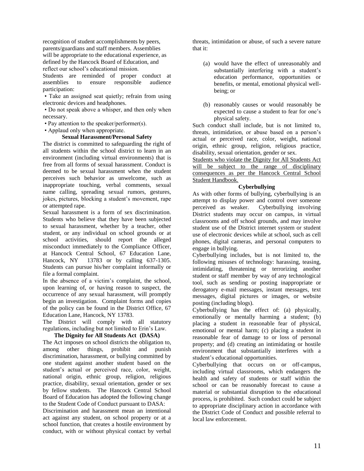recognition of student accomplishments by peers, parents/guardians and staff members. Assemblies will be appropriate to the educational experience, as defined by the Hancock Board of Education, and reflect our school's educational mission.

Students are reminded of proper conduct at assemblies to ensure responsible audience participation:

• Take an assigned seat quietly; refrain from using electronic devices and headphones.

• Do not speak above a whisper, and then only when necessary.

• Pay attention to the speaker/performer(s).

• Applaud only when appropriate.

# **Sexual Harassment/Personal Safety**

The district is committed to safeguarding the right of all students within the school district to learn in an environment (including virtual environments) that is free from all forms of sexual harassment. Conduct is deemed to be sexual harassment when the student perceives such behavior as unwelcome, such as inappropriate touching, verbal comments, sexual name calling, spreading sexual rumors, gestures, jokes, pictures, blocking a student's movement, rape or attempted rape.

Sexual harassment is a form of sex discrimination. Students who believe that they have been subjected to sexual harassment, whether by a teacher, other student, or any individual on school grounds or at school activities, should report the alleged misconduct immediately to the Compliance Officer, at Hancock Central School, 67 Education Lane, Hancock, NY 13783 or by calling 637-1305. Students can pursue his/her complaint informally or file a formal complaint.

In the absence of a victim's complaint, the school, upon learning of, or having reason to suspect, the occurrence of any sexual harassment, will promptly begin an investigation. Complaint forms and copies of the policy can be found in the District Office, 67 Education Lane, Hancock, NY 13783.

The District will comply with all statutory regulations, including but not limited to Erin's Law.

# **The Dignity for All Students Act (DASA)**

The Act imposes on school districts the obligation to, among other things, prohibit and punish discrimination, harassment, or bullying committed by one student against another student based on the student's actual or perceived race, color, weight, national origin, ethnic group, religion, religious practice, disability, sexual orientation, gender or sex by fellow students. The Hancock Central School Board of Education has adopted the following change to the Student Code of Conduct pursuant to DASA:

Discrimination and harassment mean an intentional act against any student, on school property or at a school function, that creates a hostile environment by conduct, with or without physical contact by verbal threats, intimidation or abuse, of such a severe nature that it:

- (a) would have the effect of unreasonably and substantially interfering with a student's education performance, opportunities or benefits, or mental, emotional physical wellbeing; or
- (b) reasonably causes or would reasonably be expected to cause a student to fear for one's physical safety.

Such conduct shall include, but is not limited to, threats, intimidation, or abuse based on a person's actual or perceived race, color, weight, national origin, ethnic group, religion, religious practice, disability, sexual orientation, gender or sex.

Students who violate the Dignity for All Students Act will be subject to the range of disciplinary consequences as per the Hancock Central School Student Handbook.

# **Cyberbullying**

As with other forms of bullying, cyberbullying is an attempt to display power and control over someone perceived as weaker. Cyberbullying involving District students may occur on campus, in virtual classrooms and off school grounds, and may involve student use of the District internet system or student use of electronic devices while at school, such as cell phones, digital cameras, and personal computers to engage in bullying.

Cyberbullying includes, but is not limited to, the following misuses of technology: harassing, teasing, intimidating, threatening or terrorizing another student or staff member by way of any technological tool, such as sending or posting inappropriate or derogatory e-mail messages, instant messages, text messages, digital pictures or images, or website posting (including blogs).

Cyberbullying has the effect of: (a) physically, emotionally or mentally harming a student; (b) placing a student in reasonable fear of physical, emotional or mental harm; (c) placing a student in reasonable fear of damage to or loss of personal property; and (d) creating an intimidating or hostile environment that substantially interferes with a student's educational opportunities.

Cyberbullying that occurs on or off-campus, including virtual classrooms, which endangers the health and safety of students or staff within the school or can be reasonably forecast to cause a material or substantial disruption to the educational process, is prohibited. Such conduct could be subject to appropriate disciplinary action in accordance with the District Code of Conduct and possible referral to local law enforcement.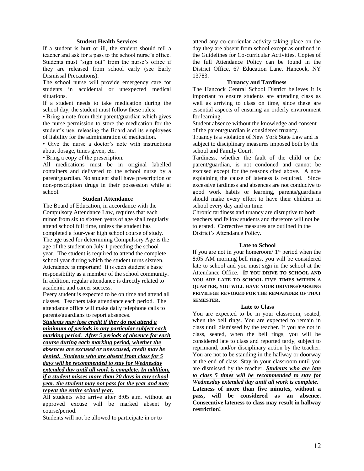#### **Student Health Services**

If a student is hurt or ill, the student should tell a teacher and ask for a pass to the school nurse's office. Students must "sign out" from the nurse's office if they are released from school early (see Early Dismissal Precautions).

The school nurse will provide emergency care for students in accidental or unexpected medical situations.

If a student needs to take medication during the school day, the student must follow these rules:

• Bring a note from their parent/guardian which gives the nurse permission to store the medication for the student's use, releasing the Board and its employees of liability for the administration of medication.

• Give the nurse a doctor's note with instructions about dosage, times given, etc.

• Bring a copy of the prescription.

All medications must be in original labelled containers and delivered to the school nurse by a parent/guardian. No student shall have prescription or non-prescription drugs in their possession while at school.

# **Student Attendance**

The Board of Education, in accordance with the Compulsory Attendance Law, requires that each minor from six to sixteen years of age shall regularly attend school full time, unless the student has completed a four-year high school course of study. The age used for determining Compulsory Age is the age of the student on July 1 preceding the school year. The student is required to attend the complete school year during which the student turns sixteen. Attendance is important! It is each student's basic responsibility as a member of the school community. In addition, regular attendance is directly related to academic and career success.

Every student is expected to be on time and attend all classes. Teachers take attendance each period. The attendance office will make daily telephone calls to parents/guardians to report absences.

*Students may lose credit if they do not attend a minimum of periods in any particular subject each marking period. After 5 periods of absence for each course during each marking period, whether the absences are excused or unexcused, credit may be denied. Students who are absent from class for 5 days will be recommended to stay for Wednesday extended day until all work is complete. In addition, if a student misses more than 20 days in any school year, the student may not pass for the year and may repeat the entire school year.* 

All students who arrive after 8:05 a.m. without an approved excuse will be marked absent by course/period.

Students will not be allowed to participate in or to

attend any co-curricular activity taking place on the day they are absent from school except as outlined in the Guidelines for Co-curricular Activities. Copies of the full Attendance Policy can be found in the District Office, 67 Education Lane, Hancock, NY 13783.

### **Truancy and Tardiness**

The Hancock Central School District believes it is important to ensure students are attending class as well as arriving to class on time, since these are essential aspects of ensuring an orderly environment for learning.

Student absence without the knowledge and consent of the parent/guardian is considered truancy.

Truancy is a violation of New York State Law and is subject to disciplinary measures imposed both by the school and Family Court.

Tardiness, whether the fault of the child or the parent/guardian, is not condoned and cannot be excused except for the reasons cited above. A note explaining the cause of lateness is required. Since excessive tardiness and absences are not conducive to good work habits or learning, parents/guardians should make every effort to have their children in school every day and on time.

Chronic tardiness and truancy are disruptive to both teachers and fellow students and therefore will not be tolerated. Corrective measures are outlined in the District's Attendance Policy.

#### **Late to School**

If you are not in your homeroom/  $1<sup>st</sup>$  period when the 8:05 AM morning bell rings, you will be considered late to school and you must sign in the school at the Attendance Office. **IF YOU DRIVE TO SCHOOL AND YOU ARE LATE TO SCHOOL FIVE TIMES WITHIN A QUARTER, YOU WILL HAVE YOUR DRIVING/PARKING PRIVILEGE REVOKED FOR THE REMAINDER OF THAT SEMESTER.**

#### **Late to Class**

You are expected to be in your classroom, seated, when the bell rings. You are expected to remain in class until dismissed by the teacher. If you are not in class, seated, when the bell rings, you will be considered late to class and reported tardy, subject to reprimand, and/or disciplinary action by the teacher. You are not to be standing in the hallway or doorway at the end of class. Stay in your classroom until you are dismissed by the teacher. *Students who are late to class 5 times will be recommended to stay for Wednesday extended day until all work is complete.* **Lateness of more than five minutes, without a pass, will be considered as an absence. Consecutive lateness to class may result in hallway restriction!**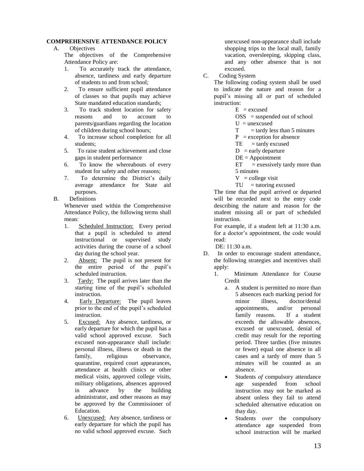# **COMPREHENSIVE ATTENDANCE POLICY**

A. Objectives

The objectives of the Comprehensive Attendance Policy are:

- 1. To accurately track the attendance, absence, tardiness and early departure of students to and from school;
- 2. To ensure sufficient pupil attendance of classes so that pupils may achieve State mandated education standards;
- 3. To track student location for safety reasons and to account to parents/guardians regarding the location of children during school hours;
- 4. To increase school completion for all students;
- 5. To raise student achievement and close gaps in student performance
- 6. To know the whereabouts of every student for safety and other reasons;
- 7. To determine the District's daily average attendance for State aid purposes.
- B. Definitions

Whenever used within the Comprehensive Attendance Policy, the following terms shall mean:

- 1. Scheduled Instruction: Every period that a pupil is scheduled to attend instructional or supervised study activities during the course of a school day during the school year.
- 2. Absent: The pupil is not present for the entire period of the pupil's scheduled instruction.
- 3. Tardy: The pupil arrives later than the starting time of the pupil's scheduled instruction.
- 4. Early Departure: The pupil leaves prior to the end of the pupil's scheduled instruction.
- 5. Excused: Any absence, tardiness, or early departure for which the pupil has a valid school approved excuse. Such excused non-appearance shall include: personal illness, illness or death in the family, religious observance, quarantine, required court appearances, attendance at health clinics or other medical visits, approved college visits, military obligations, absences approved in advance by the building administrator, and other reasons as may be approved by the Commissioner of Education.
- 6. Unexcused: Any absence, tardiness or early departure for which the pupil has no valid school approved excuse. Such

unexcused non-appearance shall include shopping trips to the local mall, family vacation, oversleeping, skipping class, and any other absence that is not excused.

C. Coding System

The following coding system shall be used to indicate the nature and reason for a pupil's missing all or part of scheduled instruction:

 $E$  = excused

 $OSS$  = suspended out of school  $U =$ unexcused

 $T = \text{tardy less than 5 minutes}$ 

- $P =$  exception for absence
- $TE = \text{tardy }$  excused
- $D =$ early departure
- $DE = Appointment$

 $ET = e$ xessively tardy more than 5 minutes

 $V =$  college visit

 $TU = tutoring$  excused

The time that the pupil arrived or departed will be recorded next to the entry code describing the nature and reason for the student missing all or part of scheduled instruction.

For example, if a student left at 11:30 a.m. for a doctor's appointment, the code would read:

DE: 11:30 a.m.

- D. In order to encourage student attendance, the following strategies and incentives shall apply:
	- 1. Minimum Attendance for Course Credit
		- a. A student is permitted no more than 5 absences each marking period for minor illness, doctor/dental appointments, and/or personal family reasons. If a student exceeds the allowable absences, excused or unexcused, denial of credit may result for the reporting period. Three tardies (five minutes or fewer) equal one absence in all cases and a tardy of more than 5 minutes will be counted as an absence.
		- Students *of* compulsory attendance age suspended from school instruction may not be marked as absent unless they fail to attend scheduled alternative education on thay day.
		- Students *over* the compulsory attendance age suspended from school instruction will be marked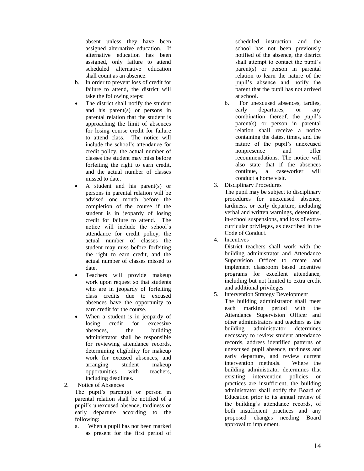absent unless they have been assigned alternative education. If alternative education has been assigned, only failure to attend scheduled alternative education shall count as an absence.

- b. In order to prevent loss of credit for failure to attend, the district will take the following steps:
- The district shall notify the student and his parent(s) or persons in parental relation that the student is approaching the limit of absences for losing course credit for failure to attend class. The notice will include the school's attendance for credit policy, the actual number of classes the student may miss before forfeiting the right to earn credit, and the actual number of classes missed to date.
- A student and his parent(s) or persons in parental relation will be advised one month before the completion of the course if the student is in jeopardy of losing credit for failure to attend. The notice will include the school's attendance for credit policy, the actual number of classes the student may miss before forfeiting the right to earn credit, and the actual number of classes missed to date.
- Teachers will provide makeup work upon request so that students who are in jeopardy of forfeiting class credits due to excused absences have the opportunity to earn credit for the course.
- When a student is in jeopardy of losing credit for excessive absences, the building administrator shall be responsible for reviewing attendance records, determining eligibility for makeup work for excused absences, and arranging student makeup opportunities with teachers, including deadlines.
- 2. Notice of Absences
	- The pupil's parent(s) or person in parental relation shall be notified of a pupil's unexcused absence, tardiness or early departure according to the following:
	- a. When a pupil has not been marked as present for the first period of

scheduled instruction and the school has not been previously notified of the absence, the district shall attempt to contact the pupil's parent(s) or person in parental relation to learn the nature of the pupil's absence and notify the parent that the pupil has not arrive d at school.

- b. For unexcused absences, tardies, early departures, or any combination thereof, the pupil's parent(s) or person in parental relation shall receive a notice containing the dates, times, and the nature of the pupil's unexcused nonpresence and offer recommendations. The notice will also state that if the absences continue, a caseworker will conduct a home visit.
- 3. Disciplinary Procedures

The pupil may be subject to disciplinary procedures for unexcused absence, tardiness, or early departure, including verbal and written warnings, detentions, in -school suspensions, and loss of extra curricular privileges, as described in the Code of Conduct.

4. Incentives

District teachers shall work with the building administrator and Attendance Supervision Officer to creat e and implement classroom based incentive programs for excellent attendance, including but not limited to extra credit and additional privileges.

5. Intervention Strategy Development

The building administrator shall meet each marking period with the Attendance Supervision Officer and other administrators and teachers as the building administrator determines necessary to review student attendance records, a ddress identified patterns of unexcused pupil absence, tar diness and early departure, and review current intervention methods. Where the building administrator determines that exisiting intervention policies or practices are insufficient, the building administrator shall notify the Board of Education prior to its annual review of the building's attendance records, of both insufficient practices and any proposed changes needing Board approval to implement.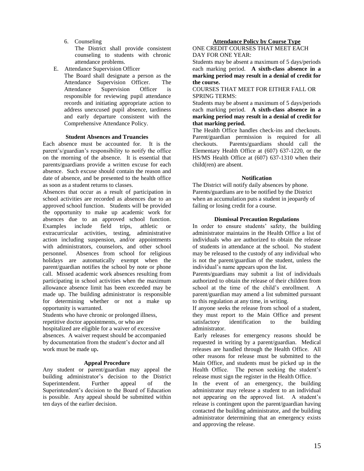6. Counseling

The District shall provide consistent counseling to students with chronic attendance problems.

- E. Attendance Supervision Officer
	- The Board shall designate a person as the Attendance Supervision Officer. The Attendance Supervision Officer is responsible for reviewing pupil attendance records and initiating appropriate action to address unexcused pupil absence, tardiness and early departure consistent with the Comprehensive Attendance Policy.

# **Student Absences and Truancies**

Each absence must be accounted for. It is the parent's/guardian's responsibility to notify the office on the morning of the absence. It is essential that parents/guardians provide a written excuse for each absence. Such excuse should contain the reason and date of absence, and be presented to the health office as soon as a student returns to classes.

Absences that occur as a result of participation in school activities are recorded as absences due to an approved school function. Students will be provided the opportunity to make up academic work for absences due to an approved school function. Examples include field trips, athletic or extracurricular activities, testing, administrative action including suspension, and/or appointments with administrators, counselors, and other school personnel. Absences from school for religious holidays are automatically exempt when the parent/guardian notifies the school by note or phone call. Missed academic work absences resulting from participating in school activities when the maximum allowance absence limit has been exceeded may be made up. The building administrator is responsible for determining whether or not a make up opportunity is warranted.

Students who have chronic or prolonged illness, repetitive doctor appointments, or who are

hospitalized are eligible for a waiver of excessive absences. A waiver request should be accompanied by documentation from the student's doctor and all work must be made up**.** 

# **Appeal Procedure**

Any student or parent/guardian may appeal the building administrator's decision to the District Superintendent. Further appeal of the Superintendent's decision to the Board of Education is possible. Any appeal should be submitted within ten days of the earlier decision.

ONE CREDIT COURSES THAT MEET EACH DAY FOR ONE YEAR:

Students may be absent a maximum of 5 days/periods each marking period. **A sixth-class absence in a marking period may result in a denial of credit for the course.**

### COURSES THAT MEET FOR EITHER FALL OR SPRING TERMS:

Students may be absent a maximum of 5 days/periods each marking period. **A sixth-class absence in a marking period may result in a denial of credit for that marking period.**

The Health Office handles check-ins and checkouts. Parent/guardian permission is required for all checkouts. Parents/guardians should call the Elementary Health Office at (607) 637-1220, or the HS/MS Health Office at (607) 637-1310 when their child(ren) are absent.

# **Notification**

The District will notify daily absences by phone. Parents/guardians are to be notified by the District when an accumulation puts a student in jeopardy of failing or losing credit for a course.

# **Dismissal Precaution Regulations**

In order to ensure students' safety, the building administrator maintains in the Health Office a list of individuals who are authorized to obtain the release of students in attendance at the school. No student may be released to the custody of any individual who is not the parent/guardian of the student, unless the individual's name appears upon the list.

Parents/guardians may submit a list of individuals authorized to obtain the release of their children from school at the time of the child's enrollment. A parent/guardian may amend a list submitted pursuant to this regulation at any time, in writing.

If anyone seeks the release from school of a student, they must report to the Main Office and present satisfactory identification to the building administrator.

Early releases for emergency reasons should be requested in writing by a parent/guardian. Medical releases are handled through the Health Office. All other reasons for release must be submitted to the Main Office, and students must be picked up in the Health Office. The person seeking the student's release must sign the register in the Health Office.

In the event of an emergency, the building administrator may release a student to an individual not appearing on the approved list. A student's release is contingent upon the parent/guardian having contacted the building administrator, and the building administrator determining that an emergency exists and approving the release.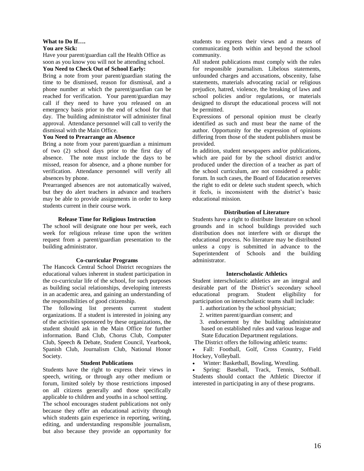# **What to Do If….**

### **You are Sick:**

Have your parent/guardian call the Health Office as soon as you know you will not be attending school.

# **You Need to Check Out of School Early:**

Bring a note from your parent/guardian stating the time to be dismissed, reason for dismissal, and a phone number at which the parent/guardian can be reached for verification. Your parent/guardian may call if they need to have you released on an emergency basis prior to the end of school for that day. The building administrator will administer final approval. Attendance personnel will call to verify the dismissal with the Main Office.

# **You Need to Prearrange an Absence**

Bring a note from your parent/guardian a minimum of two (2) school days prior to the first day of absence. The note must include the days to be missed, reason for absence, and a phone number for verification. Attendance personnel will verify all absences by phone.

Prearranged absences are not automatically waived, but they do alert teachers in advance and teachers may be able to provide assignments in order to keep students current in their course work.

### **Release Time for Religious Instruction**

The school will designate one hour per week, each week for religious release time upon the written request from a parent/guardian presentation to the building administrator.

#### **Co-curricular Programs**

The Hancock Central School District recognizes the educational values inherent in student participation in the co-curricular life of the school, for such purposes as building social relationships, developing interests in an academic area, and gaining an understanding of the responsibilities of good citizenship.

The following list presents current student organizations. If a student is interested in joining any of the activities sponsored by these organizations, the student should ask in the Main Office for further information. Band Club, Chorus Club, Computer Club, Speech & Debate, Student Council, Yearbook, Spanish Club, Journalism Club, National Honor Society.

#### **Student Publications**

Students have the right to express their views in speech, writing, or through any other medium or forum, limited solely by those restrictions imposed on all citizens generally and those specifically applicable to children and youths in a school setting.

The school encourages student publications not only because they offer an educational activity through which students gain experience in reporting, writing, editing, and understanding responsible journalism, but also because they provide an opportunity for students to express their views and a means of communicating both within and beyond the school community.

All student publications must comply with the rules for responsible journalism. Libelous statements, unfounded charges and accusations, obscenity, false statements, materials advocating racial or religious prejudice, hatred, violence, the breaking of laws and school policies and/or regulations, or materials designed to disrupt the educational process will not be permitted.

Expressions of personal opinion must be clearly identified as such and must bear the name of the author. Opportunity for the expression of opinions differing from those of the student publishers must be provided.

In addition, student newspapers and/or publications, which are paid for by the school district and/or produced under the direction of a teacher as part of the school curriculum, are not considered a public forum. In such cases, the Board of Education reserves the right to edit or delete such student speech, which it feels, is inconsistent with the district's basic educational mission.

#### **Distribution of Literature**

Students have a right to distribute literature on school grounds and in school buildings provided such distribution does not interfere with or disrupt the educational process. No literature may be distributed unless a copy is submitted in advance to the Superintendent of Schools and the building administrator.

#### **Interscholastic Athletics**

Student interscholastic athletics are an integral and desirable part of the District's secondary school educational program. Student eligibility for participation on interscholastic teams shall include:

- 1. authorization by the school physician;
- 2. written parent/guardian consent; and
- 3. endorsement by the building administrator based on established rules and various league and State Education Department regulations.
- The District offers the following athletic teams:
- Fall: Football, Golf, Cross Country, Field Hockey, Volleyball.
- Winter: Basketball, Bowling, Wrestling.

• Spring: Baseball, Track, Tennis, Softball. Students should contact the Athletic Director if interested in participating in any of these programs.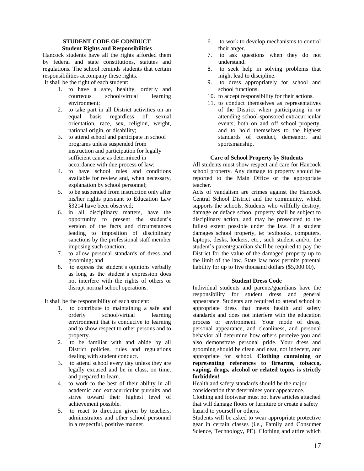#### **STUDENT CODE OF CONDUCT Student Rights and Responsibilities**

Hancock students have all the rights afforded them by federal and state constitutions, statutes and regulations. The school reminds students that certain responsibilities accompany these rights.

It shall be the right of each student:

- 1. to have a safe, healthy, orderly and courteous school/virtual learning environment;
- 2. to take part in all District activities on an equal basis regardless of sexual orientation, race, sex, religion, weight, national origin, or disability;
- 3. to attend school and participate in school programs unless suspended from instruction and participation for legally sufficient cause as determined in accordance with due process of law;
- 4. to have school rules and conditions available for review and, when necessary, explanation by school personnel;
- 5. to be suspended from instruction only after his/her rights pursuant to Education Law §3214 have been observed;
- 6. in all disciplinary matters, have the opportunity to present the student's version of the facts and circumstances leading to imposition of disciplinary sanctions by the professional staff member imposing such sanction;
- 7. to allow personal standards of dress and grooming; and
- 8. to express the student's opinions verbally as long as the student's expression does not interfere with the rights of others or disrupt normal school operations.

It shall be the responsibility of each student:

- 1. to contribute to maintaining a safe and orderly school/virtual learning environment that is conducive to learning and to show respect to other persons and to property.
- 2. to be familiar with and abide by all District policies, rules and regulations dealing with student conduct.
- 3. to attend school every day unless they are legally excused and be in class, on time, and prepared to learn.
- 4. to work to the best of their ability in all academic and extracurricular pursuits and strive toward their highest level of achievement possible.
- 5. to react to direction given by teachers, administrators and other school personnel in a respectful, positive manner.
- 6. to work to develop mechanisms to control their anger.
- 7. to ask questions when they do not understand.
- 8. to seek help in solving problems that might lead to discipline.
- 9. to dress appropriately for school and school functions.
- 10. to accept responsibility for their actions.
- 11. to conduct themselves as representatives of the District when participating in or attending school-sponsored extracurricular events, both on and off school property, and to hold themselves to the highest standards of conduct, demeanor, and sportsmanship.

# **Care of School Property by Students**

All students must show respect and care for Hancock school property. Any damage to property should be reported to the Main Office or the appropriate teacher.

Acts of vandalism are crimes against the Hancock Central School District and the community, which supports the schools. Students who willfully destroy, damage or deface school property shall be subject to disciplinary action, and may be prosecuted to the fullest extent possible under the law. If a student damages school property, ie: textbooks, computers, laptops, desks, lockers, etc., such student and/or the student's parent/guardian shall be required to pay the District for the value of the damaged property up to the limit of the law. State law now permits parental liability for up to five thousand dollars (\$5,000.00).

#### **Student Dress Code**

Individual students and parents/guardians have the responsibility for student dress and general appearance. Students are required to attend school in appropriate dress that meets health and safety standards and does not interfere with the education process or environment. Your mode of dress, personal appearance, and cleanliness, and personal behavior all determine how others perceive you and also demonstrate personal pride. Your dress and grooming should be clean and neat, not indecent, and appropriate for school. **Clothing containing or representing references to firearms, tobacco, vaping, drugs, alcohol or related topics is strictly forbidden!**

Health and safety standards should be the major consideration that determines your appearance.

Clothing and footwear must not have articles attached that will damage floors or furniture or create a safety hazard to yourself or others.

Students will be asked to wear appropriate protective gear in certain classes (i.e., Family and Consumer Science, Technology, PE). Clothing and attire which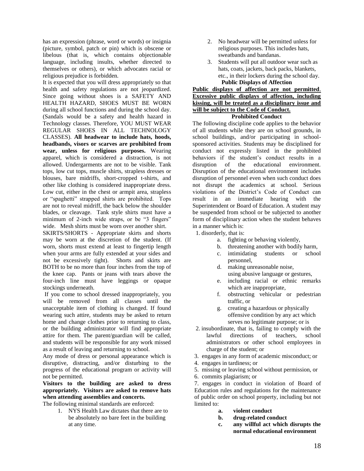has an expression (phrase, word or words) or insignia (picture, symbol, patch or pin) which is obscene or libelous (that is, which contains objectionable language, including insults, whether directed to themselves or others), or which advocates racial or religious prejudice is forbidden.

It is expected that you will dress appropriately so that health and safety regulations are not jeopardized. Since going without shoes is a SAFETY AND HEALTH HAZARD, SHOES MUST BE WORN during all school functions and during the school day. (Sandals would be a safety and health hazard in Technology classes. Therefore, YOU MUST WEAR REGULAR SHOES IN ALL TECHNOLOGY CLASSES). **All headwear to include hats, hoods, headbands, visors or scarves are prohibited from wear, unless for religious purposes.** Wearing apparel, which is considered a distraction, is not allowed. Undergarments are not to be visible. Tank tops, low cut tops, muscle shirts, strapless dresses or blouses, bare midriffs, short-cropped t-shirts, and other like clothing is considered inappropriate dress. Low cut, either in the chest or armpit area, strapless or "spaghetti" strapped shirts are prohibited. Tops are not to reveal midriff, the back below the shoulder blades, or cleavage. Tank style shirts must have a minimum of 2-inch wide straps, or be "3 fingers" wide. Mesh shirts must be worn over another shirt.

SKIRTS/SHORTS - Appropriate skirts and shorts may be worn at the discretion of the student. (If worn, shorts must extend at least to fingertip length when your arms are fully extended at your sides and not be excessively tight). Shorts and skirts are BOTH to be no more than four inches from the top of the knee cap. Pants or jeans with tears above the four-inch line must have leggings or opaque stockings underneath.

If you come to school dressed inappropriately, you will be removed from all classes until the unacceptable item of clothing is changed. If found wearing such attire, students may be asked to return home and change clothes prior to returning to class, or the building administrator will find appropriate attire for them. The parent/guardian will be called, and students will be responsible for any work missed as a result of leaving and returning to school.

Any mode of dress or personal appearance which is disruptive, distracting, and/or disturbing to the progress of the educational program or activity will not be permitted.

**Visitors to the building are asked to dress appropriately. Visitors are asked to remove hats when attending assemblies and concerts.**

The following minimal standards are enforced:

1. NYS Health Law dictates that there are to be absolutely no bare feet in the building at any time.

- 2. No headwear will be permitted unless for religious purposes. This includes hats, sweatbands and bandanas.
- 3. Students will put all outdoor wear such as hats, coats, jackets, back packs, blankets, etc., in their lockers during the school day. **Public Displays of Affection**

# **Public displays of affection are not permitted**. **Excessive public displays of affection, including kissing, will be treated as a disciplinary issue and will be subject to the Code of Conduct.**

# **Prohibited Conduct**

The following discipline code applies to the behavior of all students while they are on school grounds, in school buildings, and/or participating in schoolsponsored activities. Students may be disciplined for conduct not expressly listed in the prohibited behaviors if the student's conduct results in a disruption of the educational environment. Disruption of the educational environment includes disruption of personnel even when such conduct does not disrupt the academics at school. Serious violations of the District's Code of Conduct can result in an immediate hearing with the Superintendent or Board of Education. A student may be suspended from school or be subjected to another form of disciplinary action when the student behaves in a manner which is:

1. disorderly, that is:

- a. fighting or behaving violently,
- b. threatening another with bodily harm,
- c. intimidating students or school personnel,
- d. making unreasonable noise,
- using abusive language or gestures,
- e. including racial or ethnic remarks which are inappropriate,
- f. obstructing vehicular or pedestrian traffic, or
- g. creating a hazardous or physically offensive condition by any act which serves no legitimate purpose; or is
- 2. insubordinate, that is, failing to comply with the lawful directions of teachers, school administrators or other school employees in charge of the student; or
- 3. engages in any form of academic misconduct; or
- 4. engages in tardiness; or
- 5. missing or leaving school without permission, or
- 6. commits plagiarism; or

7. engages in conduct in violation of Board of Education rules and regulations for the maintenance of public order on school property, including but not limited to:

- **a. violent conduct**
- **b. drug-related conduct**
- **c. any willful act which disrupts the normal educational environment**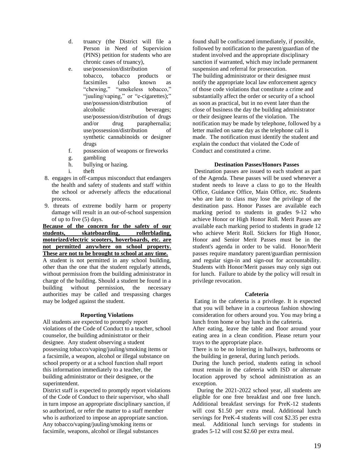- d. truancy (the District will file a Person in Need of Supervision (PINS) petition for students who are chronic cases of truancy),
- e. use/possession/distribution of tobacco, tobacco products or facsimiles (also known as "chewing," "smokeless tobacco," "juuling/vaping," or "e-cigarettes);" use/possession/distribution of alcoholic beverages; use/possession/distribution of drugs and/or drug paraphernalia; use/possession/distribution of synthetic cannabinoids or designer drugs
- f. possession of weapons or fireworks
- g. gambling
- h. bullying or hazing.
- i. theft
- 8. engages in off-campus misconduct that endangers the health and safety of students and staff within the school or adversely affects the educational process.
- 9. threats of extreme bodily harm or property damage will result in an out-of-school suspension of up to five (5) days.

**Because of the concern for the safety of our students, skateboarding, rollerblading, motorized/electric scooters, hoverboards, etc. are not permitted anywhere on school property. These are not to be brought to school at any time.** A student is not permitted in any school building, other than the one that the student regularly attends, without permission from the building administrator in charge of the building. Should a student be found in a building without permission, the necessary authorities may be called and trespassing charges may be lodged against the student.

#### **Reporting Violations**

All students are expected to promptly report violations of the Code of Conduct to a teacher, school counselor, the building administrator or their designee. Any student observing a student possessing tobacco/vaping/juuling/smoking items or a facsimile, a weapon, alcohol or illegal substance on school property or at a school function shall report this information immediately to a teacher, the building administrator or their designee, or the superintendent.

District staff is expected to promptly report violations of the Code of Conduct to their supervisor, who shall in turn impose an appropriate disciplinary sanction, if so authorized, or refer the matter to a staff member who is authorized to impose an appropriate sanction. Any tobacco/vaping/juuling/smoking items or facsimile, weapons, alcohol or illegal substances

found shall be confiscated immediately, if possible, followed by notification to the parent/guardian of the student involved and the appropriate disciplinary sanction if warranted, which may include permanent suspension and referral for prosecution. The building administrator or their designee must notify the appropriate local law enforcement agency of those code violations that constitute a crime and substantially affect the order or security of a school as soon as practical, but in no event later than the close of business the day the building administrator or their designee learns of the violation. The notification may be made by telephone, followed by a letter mailed on same day as the telephone call is made. The notification must identify the student and explain the conduct that violated the Code of Conduct and constituted a crime.

#### **Destination Passes/Honors Passes**

Destination passes are issued to each student as part of the Agenda. These passes will be used whenever a student needs to leave a class to go to the Health Office, Guidance Office, Main Office, etc. Students who are late to class may lose the privilege of the destination pass. Honor Passes are available each marking period to students in grades 9-12 who achieve Honor or High Honor Roll. Merit Passes are available each marking period to students in grade 12 who achieve Merit Roll. Stickers for High Honor, Honor and Senior Merit Passes must be in the student's agenda in order to be valid. Honor/Merit passes require mandatory parent/guardian permission and regular sign-in and sign-out for accountability. Students with Honor/Merit passes may only sign out for lunch. Failure to abide by the policy will result in privilege revocation.

#### **Cafeteria**

Eating in the cafeteria is a privilege. It is expected that you will behave in a courteous fashion showing consideration for others around you. You may bring a lunch from home or buy lunch in the cafeteria.

After eating, leave the table and floor around your eating area in a clean condition. Please return your trays to the appropriate place.

There is to be no loitering in hallways, bathrooms or the building in general, during lunch periods.

During the lunch period, students eating in school must remain in the cafeteria with ISD or alternate location approved by school administration as an exception.

 During the 2021-2022 school year, all students are eligible for one free breakfast and one free lunch. Additional breakfast servings for PreK-12 students will cost \$1.50 per extra meal. Additional lunch servings for PreK-4 students will cost \$2.35 per extra meal. Additional lunch servings for students in grades 5-12 will cost \$2.60 per extra meal.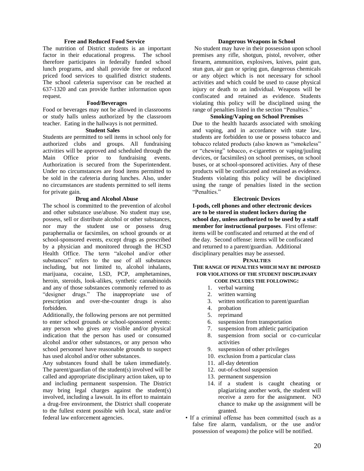#### **Free and Reduced Food Service**

The nutrition of District students is an important factor in their educational progress. The school therefore participates in federally funded school lunch programs, and shall provide free or reduced priced food services to qualified district students. The school cafeteria supervisor can be reached at 637-1320 and can provide further information upon request.

#### **Food/Beverages**

Food or beverages may not be allowed in classrooms or study halls unless authorized by the classroom teacher. Eating in the hallways is not permitted.

#### **Student Sales**

Students are permitted to sell items in school only for authorized clubs and groups. All fundraising activities will be approved and scheduled through the Main Office prior to fundraising events. Authorization is secured from the Superintendent. Under no circumstances are food items permitted to be sold in the cafeteria during lunches. Also, under no circumstances are students permitted to sell items for private gain.

#### **Drug and Alcohol Abuse**

The school is committed to the prevention of alcohol and other substance use/abuse. No student may use, possess, sell or distribute alcohol or other substances, nor may the student use or possess drug paraphernalia or facsimiles, on school grounds or at school-sponsored events, except drugs as prescribed by a physician and monitored through the HCSD Health Office. The term "alcohol and/or other substances" refers to the use of all substances including, but not limited to, alcohol inhalants, marijuana, cocaine, LSD, PCP, amphetamines, heroin, steroids, look-alikes, synthetic cannabinoids and any of those substances commonly referred to as "designer drugs." The inappropriate use of prescription and over-the-counter drugs is also forbidden.

Additionally, the following persons are not permitted to enter school grounds or school-sponsored events: any person who gives any visible and/or physical indication that the person has used or consumed alcohol and/or other substances, or any person who school personnel have reasonable grounds to suspect has used alcohol and/or other substances.

Any substances found shall be taken immediately. The parent/guardian of the student(s) involved will be called and appropriate disciplinary action taken, up to and including permanent suspension. The District may bring legal charges against the student(s) involved, including a lawsuit. In its effort to maintain a drug-free environment, the District shall cooperate to the fullest extent possible with local, state and/or federal law enforcement agencies.

#### **Dangerous Weapons in School**

No student may have in their possession upon school premises any rifle, shotgun, pistol, revolver, other firearm, ammunition, explosives, knives, paint gun, stun gun, air gun or spring gun, dangerous chemicals or any object which is not necessary for school activities and which could be used to cause physical injury or death to an individual. Weapons will be confiscated and retained as evidence. Students violating this policy will be disciplined using the range of penalties listed in the section "Penalties."

#### **Smoking/Vaping on School Premises**

Due to the health hazards associated with smoking and vaping, and in accordance with state law, students are forbidden to use or possess tobacco and tobacco related products (also known as "smokeless" or "chewing" tobacco, e-cigarettes or vaping/juuling devices, or facsimiles) on school premises, on school buses, or at school-sponsored activities. Any of these products will be confiscated and retained as evidence. Students violating this policy will be disciplined using the range of penalties listed in the section "Penalties."

#### **Electronic Devices**

**I-pods, cell phones and other electronic devices are to be stored in student lockers during the school day, unless authorized to be used by a staff member for instructional purposes**. First offense: items will be confiscated and returned at the end of the day. Second offense: items will be confiscated and returned to a parent/guardian. Additional disciplinary penalties may be assessed.

#### **PENALTIES**

#### **THE RANGE OF PENALTIES WHICH MAY BE IMPOSED FOR VIOLATIONS OF THE STUDENT DISCIPLINARY CODE INCLUDES THE FOLLOWING:**

- 1. verbal warning
- 2. written warning
- 3. written notification to parent/guardian
- 4. probation
- 5. reprimand
- 6. suspension from transportation
- 7. suspension from athletic participation
- 8. suspension from social or co-curricular activities
- 9. suspension of other privileges
- 10. exclusion from a particular class
- 11. all-day detention
- 12. out-of-school suspension
- 13. permanent suspension
- 14. if a student is caught cheating or plagiarizing another work, the student will receive a zero for the assignment. NO chance to make up the assignment will be granted.
- If a criminal offense has been committed (such as a false fire alarm, vandalism, or the use and/or possession of weapons) the police will be notified.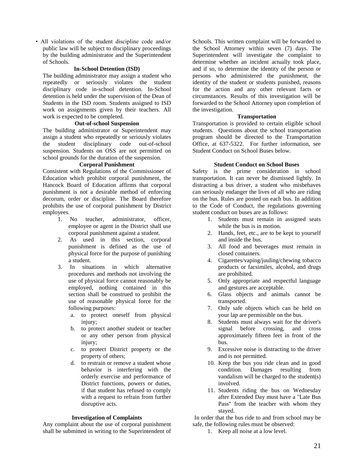• All violations of the student discipline code and/or public law will be subject to disciplinary proceedings by the building administrator and the Superintendent of Schools.

# **In-School Detention (ISD)**

The building administrator may assign a student who repeatedly or seriously violates the student disciplinary code in-school detention. In-School detention is held under the supervision of the Dean of Students in the ISD room. Students assigned to ISD work on assignments given by their teachers. All work is expected to be completed.

# **Out-of-school Suspension**

The building administrator or Superintendent may assign a student who repeatedly or seriously violates the student disciplinary code out-of-school suspension. Students on OSS are not permitted on school grounds for the duration of the suspension.

# **Corporal Punishment**

Consistent with Regulations of the Commissioner of Education which prohibit corporal punishment, the Hancock Board of Education affirms that corporal punishment is not a desirable method of enforcing decorum, order or discipline. The Board therefore prohibits the use of corporal punishment by District employees.

- 1. No teacher, administrator, officer, employee or agent in the District shall use corporal punishment against a student.
- 2. As used in this section, corporal punishment is defined as the use of physical force for the purpose of punishing a student.
- 3. In situations in which alternative procedures and methods not involving the use of physical force cannot reasonably be employed, nothing contained in this section shall be construed to prohibit the use of reasonable physical force for the following purposes:
	- a. to protect oneself from physical injury:
	- b. to protect another student or teacher or any other person from physical injury:
	- c. to protect District property or the property of others;
	- d. to restrain or remove a student whose behavior is interfering with the orderly exercise and performance of District functions, powers or duties, if that student has refused to comply with a request to refrain from further disruptive acts.

#### **Investigation of Complaints**

Any complaint about the use of corporal punishment shall be submitted in writing to the Superintendent of Schools. This written complaint will be forwarded to the School Attorney within seven (7) days. The Superintendent will investigate the complaint to determine whether an incident actually took place, and if so, to determine the identity of the person or persons who administered the punishment, the identity of the student or students punished, reasons for the action and any other relevant facts or circumstances. Results of this investigation will be forwarded to the School Attorney upon completion of the investigation.

#### **Transportation**

Transportation is provided to certain eligible school students. Questions about the school transportation program should be directed to the Transportation Office, at 637-5322. For further information, see Student Conduct on School Buses below.

#### **Student Conduct on School Buses**

Safety is the prime consideration in school transportation. It can never be dismissed lightly. In distracting a bus driver, a student who misbehaves can seriously endanger the lives of all who are riding on the bus. Rules are posted on each bus. In addition to the Code of Conduct, the regulations governing student conduct on buses are as follows:

- 1. Students must remain in assigned seats while the bus is in motion.
- 2. Hands, feet, etc., are to be kept to yourself and inside the bus.
- 3. All food and beverages must remain in closed containers.
- 4. Cigarettes/vaping/juuling/chewing tobacco products or facsimiles, alcohol, and drugs are prohibited.
- 5. Only appropriate and respectful language and gestures are acceptable.
- 6. Glass objects and animals cannot be transported.
- 7. Only safe objects which can be held on your lap are permissible on the bus.
- 8. Students must always wait for the driver's signal before crossing, and cross approximately fifteen feet in front of the bus.
- 9. Excessive noise is distracting to the driver and is not permitted.
- 10. Keep the bus you ride clean and in good condition. Damages resulting from vandalism will be charged to the student(s) involved.
- 11. Students riding the bus on Wednesday after Extended Day must have a "Late Bus Pass" from the teacher with whom they stayed.

In order that the bus ride to and from school may be safe, the following rules must be observed:

1. Keep all noise at a low level.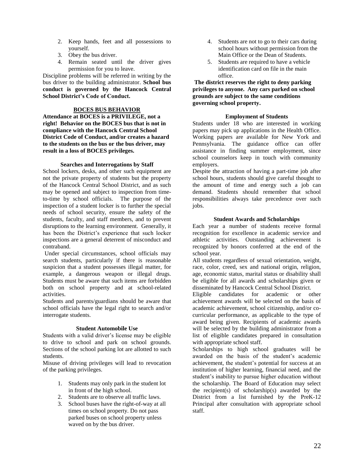- 2. Keep hands, feet and all possessions to yourself.
- 3. Obey the bus driver.
- 4. Remain seated until the driver gives permission for you to leave.

Discipline problems will be referred in writing by the bus driver to the building administrator. **School bus conduct is governed by the Hancock Central School District's Code of Conduct.**

# **BOCES BUS BEHAVIOR**

**Attendance at BOCES is a PRIVILEGE, not a right! Behavior on the BOCES bus that is not in compliance with the Hancock Central School District Code of Conduct, and/or creates a hazard to the students on the bus or the bus driver, may result in a loss of BOCES privileges.**

# **Searches and Interrogations by Staff**

School lockers, desks, and other such equipment are not the private property of students but the property of the Hancock Central School District, and as such may be opened and subject to inspection from timeto-time by school officials. The purpose of the inspection of a student locker is to further the special needs of school security, ensure the safety of the students, faculty, and staff members, and to prevent disruptions to the learning environment. Generally, it has been the District's experience that such locker inspections are a general deterrent of misconduct and contraband.

Under special circumstances, school officials may search students, particularly if there is reasonable suspicion that a student possesses illegal matter, for example, a dangerous weapon or illegal drugs. Students must be aware that such items are forbidden both on school property and at school-related activities.

Students and parents/guardians should be aware that school officials have the legal right to search and/or interrogate students.

# **Student Automobile Use**

Students with a valid driver's license may be eligible to drive to school and park on school grounds. Sections of the school parking lot are allotted to such students.

Misuse of driving privileges will lead to revocation of the parking privileges.

- 1. Students may only park in the student lot in front of the high school.
- 2. Students are to observe all traffic laws.
- 3. School buses have the right-of-way at all times on school property. Do not pass parked buses on school property unless waved on by the bus driver.
- 4. Students are not to go to their cars during school hours without permission from the Main Office or the Dean of Students.
- 5. Students are required to have a vehicle identification card on file in the main office.

**The district reserves the right to deny parking privileges to anyone. Any cars parked on school grounds are subject to the same conditions governing school property.**

# **Employment of Students**

Students under 18 who are interested in working papers may pick up applications in the Health Office. Working papers are available for New York and Pennsylvania. The guidance office can offer assistance in finding summer employment, since school counselors keep in touch with community employers.

Despite the attraction of having a part-time job after school hours, students should give careful thought to the amount of time and energy such a job can demand. Students should remember that school responsibilities always take precedence over such jobs.

# **Student Awards and Scholarships**

Each year a number of students receive formal recognition for excellence in academic service and athletic activities. Outstanding achievement is recognized by honors conferred at the end of the school year.

All students regardless of sexual orientation, weight, race, color, creed, sex and national origin, religion, age, economic status, marital status or disability shall be eligible for all awards and scholarships given or disseminated by Hancock Central School District.

Eligible candidates for academic or other achievement awards will be selected on the basis of academic achievement, school citizenship, and/or cocurricular performance, as applicable to the type of award being given. Recipients of academic awards will be selected by the building administrator from a list of eligible candidates prepared in consultation with appropriate school staff.

Scholarships to high school graduates will be awarded on the basis of the student's academic achievement, the student's potential for success at an institution of higher learning, financial need, and the student's inability to pursue higher education without the scholarship. The Board of Education may select the recipient(s) of scholarship(s) awarded by the District from a list furnished by the PreK-12 Principal after consultation with appropriate school staff.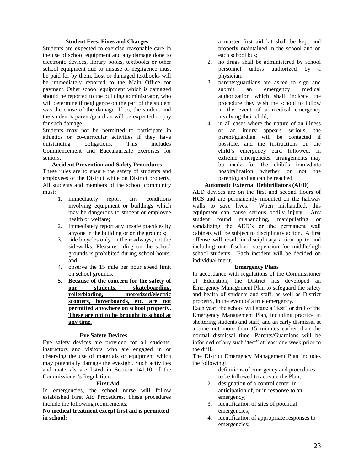#### **Student Fees, Fines and Charges**

Students are expected to exercise reasonable care in the use of school equipment and any damage done to electronic devices, library books, textbooks or other school equipment due to misuse or negligence must be paid for by them. Lost or damaged textbooks will be immediately reported to the Main Office for payment. Other school equipment which is damaged should be reported to the building administrator, who will determine if negligence on the part of the student was the cause of the damage. If so, the student and the student's parent/guardian will be expected to pay for such damage.

Students may not be permitted to participate in athletics or co-curricular activities if they have outstanding obligations. This includes Commencement and Baccalaureate exercises for seniors.

#### **Accident Prevention and Safety Procedures**

These rules are to ensure the safety of students and employees of the District while on District property. All students and members of the school community must:

- 1. immediately report any conditions involving equipment or buildings which may be dangerous to student or employee health or welfare;
- 2. immediately report any unsafe practices by anyone in the building or on the grounds;
- 3. ride bicycles only on the roadways, not the sidewalks. Pleasure riding on the school grounds is prohibited during school hours; and
- 4. observe the 15 mile per hour speed limit on school grounds.
- **5. Because of the concern for the safety of our students, skateboarding, rollerblading, motorized/electric**  scooters, hoverboards, etc. are not **permitted anywhere on school property. These are not to be brought to school at any time.**

#### **Eye Safety Devices**

Eye safety devices are provided for all students, instructors and visitors who are engaged in or observing the use of materials or equipment which may potentially damage the eyesight. Such activities and materials are listed in Section 141.10 of the Commissioner's Regulations.

# **First Aid**

In emergencies, the school nurse will follow established First Aid Procedures. These procedures include the following requirements:

# **No medical treatment except first aid is permitted in school;**

- 1. a master first aid kit shall be kept and properly maintained in the school and on each school bus;
- 2. no drugs shall be administered by school personnel unless authorized by a physician;
- 3. parents/guardians are asked to sign and submit an emergency medical authorization which shall indicate the procedure they wish the school to follow in the event of a medical emergency involving their child;
- 4. in all cases where the nature of an illness or an injury appears serious, the parent/guardian will be contacted if possible, and the instructions on the child's emergency card followed. In extreme emergencies, arrangements may be made for the child's immediate hospitalization whether or not the parent/guardian can be reached.

# **Automatic External Defibrillators (AED)**

AED devices are on the first and second floors of HCS and are permanently mounted on the hallway walls to save lives. When mishandled, this equipment can cause serious bodily injury. Any student found mishandling, manipulating or vandalizing the AED's or the permanent wall cabinets will be subject to disciplinary action. A first offense will result in disciplinary action up to and including out-of-school suspension for middle/high school students. Each incident will be decided on individual merit.

#### **Emergency Plans**

In accordance with regulations of the Commissioner of Education, the District has developed an Emergency Management Plan to safeguard the safety and health of students and staff, as well as District property, in the event of a true emergency.

Each year, the school will stage a "test" or drill of the Emergency Management Plan, including practice in sheltering students and staff, and an early dismissal at a time not more than 15 minutes earlier than the normal dismissal time. Parents/Guardians will be informed of any such "test" at least one week prior to the drill.

The District Emergency Management Plan includes the following:

- 1. definitions of emergency and procedures to be followed to activate the Plan;
- 2. designation of a control center in anticipation of, or in response to an emergency;
- 3. identification of sites of potential emergencies;
- 4. identification of appropriate responses to emergencies;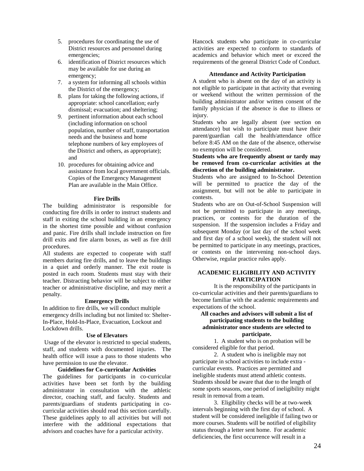- 5. procedures for coordinating the use of District resources and personnel during emergencies;
- 6. identification of District resources which may be available for use during an emergency;
- 7. a system for informing all schools within the District of the emergency;
- 8. plans for taking the following actions, if appropriate: school cancellation; early dismissal; evacuation; and sheltering;
- 9. pertinent information about each school (including information on school population, number of staff, transportation needs and the business and home telephone numbers of key employees of the District and others, as appropriate); and
- 10. procedures for obtaining advice and assistance from local government officials. Copies of the Emergency Management Plan are available in the Main Office.

#### **Fire Drills**

The building administrator is responsible for conducting fire drills in order to instruct students and staff in exiting the school building in an emergency in the shortest time possible and without confusion and panic. Fire drills shall include instruction on fire drill exits and fire alarm boxes, as well as fire drill procedures.

All students are expected to cooperate with staff members during fire drills, and to leave the buildings in a quiet and orderly manner. The exit route is posted in each room. Students must stay with their teacher. Distracting behavior will be subject to either teacher or administrative discipline, and may merit a penalty.

#### **Emergency Drills**

In addition to fire drills, we will conduct multiple emergency drills including but not limited to: Shelter-In-Place, Hold-In-Place, Evacuation, Lockout and Lockdown drills.

#### **Use of Elevators**

Usage of the elevator is restricted to special students, staff, and students with documented injuries. The health office will issue a pass to those students who have permission to use the elevator.

### **Guidelines for Co-curricular Activities**

The guidelines for participants in co-curricular activities have been set forth by the building administrator in consultation with the athletic director, coaching staff, and faculty. Students and parents/guardians of students participating in cocurricular activities should read this section carefully. These guidelines apply to all activities but will not interfere with the additional expectations that advisors and coaches have for a particular activity.

Hancock students who participate in co-curricular activities are expected to conform to standards of academics and behavior which meet or exceed the requirements of the general District Code of Conduct.

#### **Attendance and Activity Participation**

A student who is absent on the day of an activity is not eligible to participate in that activity that evening or weekend without the written permission of the building administrator and/or written consent of the family physician if the absence is due to illness or injury.

Students who are legally absent (see section on attendance) but wish to participate must have their parent/guardian call the health/attendance office before 8:45 AM on the date of the absence, otherwise no exemption will be considered.

# **Students who are frequently absent or tardy may be removed from co-curricular activities at the discretion of the building administrator.**

Students who are assigned to In-School Detention will be permitted to practice the day of the assignment, but will not be able to participate in contests.

Students who are on Out-of-School Suspension will not be permitted to participate in any meetings, practices, or contests for the duration of the suspension. If the suspension includes a Friday and subsequent Monday (or last day of the school week and first day of a school week), the student will not be permitted to participate in any meetings, practices, or contests on the intervening non-school days. Otherwise, regular practice rules apply.

# **ACADEMIC ELIGIBILITY AND ACTIVITY PARTICIPATION**

It is the responsibility of the participants in co-curricular activities and their parents/guardians to become familiar with the academic requirements and expectations of the school.

### **All coaches and advisors will submit a list of participating students to the building administrator once students are selected to participate.**

1. A student who is on probation will be considered eligible for that period.

2. A student who is ineligible may not participate in school activities to include extra curricular events. Practices are permitted and ineligible students must attend athletic contests. Students should be aware that due to the length of some sports seasons, one period of ineligibility might result in removal from a team.

3. Eligibility checks will be at two-week intervals beginning with the first day of school. A student will be considered ineligible if failing two or more courses. Students will be notified of eligibility status through a letter sent home. For academic deficiencies, the first occurrence will result in a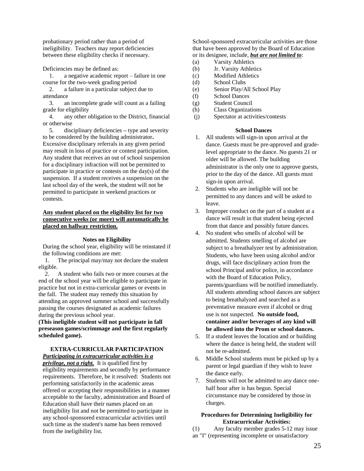probationary period rather than a period of ineligibility. Teachers may report deficiencies between these eligibility checks if necessary.

Deficiencies may be defined as:

1. a negative academic report – failure in one course for the two-week grading period

2. a failure in a particular subject due to attendance

3. an incomplete grade will count as a failing grade for eligibility

4. any other obligation to the District, financial or otherwise

5. disciplinary deficiencies **–** type and severity to be considered by the building administrator**.** Excessive disciplinary referrals in any given period may result in loss of practice or contest participation. Any student that receives an out of school suspension for a disciplinary infraction will not be permitted to participate in practice or contests on the day(s) of the suspension. If a student receives a suspension on the last school day of the week, the student will not be permitted to participate in weekend practices or contests.

# **Any student placed on the eligibility list for two consecutive weeks (or more) will automatically be placed on hallway restriction.**

#### **Notes on Eligibility**

During the school year, eligibility will be reinstated if the following conditions are met:

1. The principal may/may not declare the student eligible.

2. A student who fails two or more courses at the end of the school year will be eligible to participate in practice but not in extra-curricular games or events in the fall. The student may remedy this situation by attending an approved summer school and successfully passing the courses designated as academic failures during the previous school year.

**(This ineligible student will not participate in fall preseason games/scrimmage and the first regularly scheduled game).**

#### **EXTRA-CURRICULAR PARTICIPATION**  *Participating in extracurricular activities is a*

*privilege, not a right.* It is qualified first by eligibility requirements and secondly by performance requirements. Therefore, be it resolved: Students not performing satisfactorily in the academic areas offered or accepting their responsibilities in a manner acceptable to the faculty, administration and Board of Education shall have their names placed on an ineligibility list and not be permitted to participate in any school-sponsored extracurricular activities until such time as the student's name has been removed from the ineligibility list.

School-sponsored extracurricular activities are those that have been approved by the Board of Education or its designee, include, *but are not limited to*:

- (a) Varsity Athletics
- (b) Jr. Varsity Athletics
- (c) Modified Athletics
- (d) School Clubs
- (e) Senior Play/All School Play
- (f) School Dances
- (g) Student Council
- (h) Class Organizations
- (j) Spectator at activities/contests

# **School Dances**

- 1. All students will sign-in upon arrival at the dance. Guests must be pre-approved and gradelevel appropriate to the dance. No guests 21 or older will be allowed. The building administrator is the only one to approve guests, prior to the day of the dance. All guests must sign-in upon arrival.
- 2. Students who are ineligible will not be permitted to any dances and will be asked to leave.
- 3. Improper conduct on the part of a student at a dance will result in that student being ejected from that dance and possibly future dances.
- 4. No student who smells of alcohol will be admitted. Students smelling of alcohol are subject to a breathalyzer test by administration. Students, who have been using alcohol and/or drugs, will face disciplinary action from the school Principal and/or police, in accordance with the Board of Education Policy, parents/guardians will be notified immediately. All students attending school dances are subject to being breathalyzed and searched as a preventative measure even if alcohol or drug use is not suspected. **No outside food, container and/or beverages of any kind will be allowed into the Prom or school dances.**
- 5. If a student leaves the location and or building where the dance is being held, the student will not be re-admitted.
- 6. Middle School students must be picked up by a parent or legal guardian if they wish to leave the dance early.
- 7. Students will not be admitted to any dance onehalf hour after is has begun. Special circumstance may be considered by those in charges.

# **Procedures for Determining Ineligibility for Extracurricular Activities:**

(1) Any faculty member grades 5-12 may issue an "I" (representing incomplete or unsatisfactory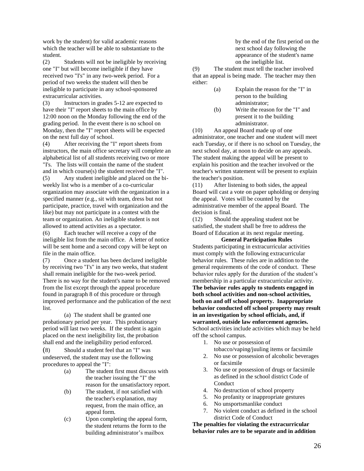work by the student) for valid academic reasons which the teacher will be able to substantiate to the student.

(2) Students will not be ineligible by receiving one "I" but will become ineligible if they have received two "I's" in any two-week period. For a period of two weeks the student will then be ineligible to participate in any school-sponsored extracurricular activities.

(3) Instructors in grades 5-12 are expected to have their "I" report sheets to the main office by 12:00 noon on the Monday following the end of the grading period. In the event there is no school on Monday, then the "I" report sheets will be expected on the next full day of school.

(4) After receiving the "I" report sheets from instructors, the main office secretary will complete an alphabetical list of all students receiving two or more "I's. The lists will contain the name of the student and in which course(s) the student received the "I". (5) Any student ineligible and placed on the biweekly list who is a member of a co-curricular organization may associate with the organization in a specified manner (e.g., sit with team, dress but not participate, practice, travel with organization and the

like) but may not participate in a contest with the team or organization. An ineligible student is not allowed to attend activities as a spectator.

(6) Each teacher will receive a copy of the ineligible list from the main office. A letter of notice will be sent home and a second copy will be kept on file in the main office.

(7) Once a student has been declared ineligible by receiving two "I's" in any two weeks, that student shall remain ineligible for the two-week period. There is no way for the student's name to be removed from the list except through the appeal procedure found in paragraph 8 of this procedure or through improved performance and the publication of the next list.

(a)The student shall be granted one probationary period per year. This probationary period will last two weeks. If the student is again placed on the next ineligibility list, the probation shall end and the ineligibility period enforced.

(8) Should a student feel that an "I" was undeserved, the student may use the following procedures to appeal the "I":

- (a) The student first must discuss with the teacher issuing the "I" the reason for the unsatisfactory report.
- (b) The student, if not satisfied with the teacher's explanation, may request, from the main office, an appeal form.
- (c) Upon completing the appeal form, the student returns the form to the building administrator's mailbox

by the end of the first period on the next school day following the appearance of the student's name on the ineligible list.

(9) The student must tell the teacher involved that an appeal is being made. The teacher may then either:

- (a) Explain the reason for the "I" in person to the building administrator;
- (b) Write the reason for the "I" and present it to the building administrator.

(10) An appeal Board made up of one administrator, one teacher and one student will meet each Tuesday, or if there is no school on Tuesday, the next school day, at noon to decide on any appeals. The student making the appeal will be present to explain his position and the teacher involved or the teacher's written statement will be present to explain the teacher's position.

(11) After listening to both sides, the appeal Board will cast a vote on paper upholding or denying the appeal. Votes will be counted by the administrative member of the appeal Board. The decision is final.

(12) Should the appealing student not be satisfied, the student shall be free to address the Board of Education at its next regular meeting.

**General Participation Rules** Students participating in extracurricular activities must comply with the following extracurricular behavior rules. These rules are in addition to the general requirements of the code of conduct. These behavior rules apply for the duration of the student's membership in a particular extracurricular activity. **The behavior rules apply to students engaged in both school activities and non-school activities, both on and off school property. Inappropriate behavior conducted off school property may result in an investigation by school officials, and, if warranted, outside law enforcement agencies.** School activities include activities which may be held off the school campus.

- 1. No use or possession of tobacco/vaping/juuling items or facsimile
- 2. No use or possession of alcoholic beverages or facsimile
- 3. No use or possession of drugs or facsimile as defined in the school district Code of Conduct
- 4. No destruction of school property
- 5. No profanity or inappropriate gestures
- 6. No unsportsmanlike conduct
- 7. No violent conduct as defined in the school district Code of Conduct

**The penalties for violating the extracurricular behavior rules are to be separate and in addition**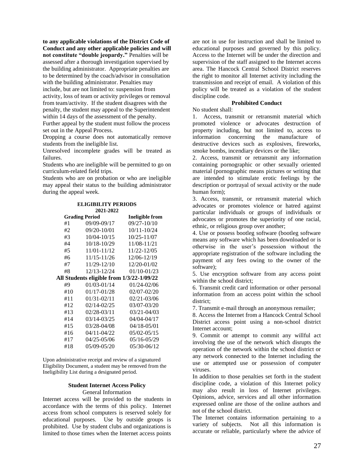**to any applicable violations of the District Code of Conduct and any other applicable policies and will not constitute "double jeopardy."** Penalties will be assessed after a thorough investigation supervised by the building administrator. Appropriate penalties are to be determined by the coach/advisor in consultation with the building administrator. Penalties may include, but are not limited to: suspension from activity, loss of team or activity privileges or removal

from team/activity. If the student disagrees with the penalty, the student may appeal to the Superintendent within 14 days of the assessment of the penalty.

Further appeal by the student must follow the process set out in the Appeal Process.

Dropping a course does not automatically remove students from the ineligible list.

Unresolved incomplete grades will be treated as failures.

Students who are ineligible will be permitted to go on curriculum-related field trips.

Students who are on probation or who are ineligible may appeal their status to the building administrator during the appeal week.

| 2021-2022                                 |                        |  |
|-------------------------------------------|------------------------|--|
|                                           | <b>Ineligible from</b> |  |
| 09/09-09/17                               | $09/27 - 10/10$        |  |
| 09/20-10/01                               | $10/11 - 10/24$        |  |
| 10/04-10/15                               | $10/25 - 11/07$        |  |
| 10/18-10/29                               | 11/08-11/21            |  |
| 11/01-11/12                               | 11/22-12/05            |  |
| 11/15-11/26                               | 12/06-12/19            |  |
| 11/29-12/10                               | 12/20-01/02            |  |
| 12/13-12/24                               | $01/10 - 01/23$        |  |
| All Students eligible from 1/3/22-1/09/22 |                        |  |
| $01/03 - 01/14$                           | 01/24-02/06            |  |
| 01/17-01/28                               | 02/07-02/20            |  |
| $01/31 - 02/11$                           | 02/21-03/06            |  |
| $02/14 - 02/25$                           | 03/07-03/20            |  |
| $02/28 - 03/11$                           | 03/21-04/03            |  |
| $03/14 - 03/25$                           | 04/04-04/17            |  |
| 03/28-04/08                               | 04/18-05/01            |  |
| $04/11 - 04/22$                           | 05/02-05/15            |  |
| $04/25 - 05/06$                           | 05/16-05/29            |  |
| 05/09-05/20                               | 05/30-06/12            |  |
|                                           | <b>Grading Period</b>  |  |

**ELIGIBILITY PERIODS 2021-2022**

Upon administrative receipt and review of a signatured Eligibility Document, a student may be removed from the Ineligibility List during a designated period.

# **Student Internet Access Policy**

General Information

Internet access will be provided to the students in accordance with the terms of this policy. Internet access from school computers is reserved solely for educational purposes. Use by outside groups is prohibited. Use by student clubs and organizations is limited to those times when the Internet access points

are not in use for instruction and shall be limited to educational purposes and governed by this policy. Access to the Internet will be under the direction and supervision of the staff assigned to the Internet access area. The Hancock Central School District reserves the right to monitor all Internet activity including the transmission and receipt of email. A violation of this policy will be treated as a violation of the student discipline code.

# **Prohibited Conduct**

No student shall:

1. Access, transmit or retransmit material which promoted violence or advocates destruction of property including, but not limited to, access to information concerning the manufacture of destructive devices such as explosives, fireworks, smoke bombs, incendiary devices or the like;

2. Access, transmit or retransmit any information containing pornographic or other sexually oriented material (pornographic means pictures or writing that are intended to stimulate erotic feelings by the description or portrayal of sexual activity or the nude human form);

3. Access, transmit, or retransmit material which advocates or promotes violence or hatred against particular individuals or groups of individuals or advocates or promotes the superiority of one racial, ethnic, or religious group over another;

4. Use or possess bootleg software (bootleg software means any software which has been downloaded or is otherwise in the user's possession without the appropriate registration of the software including the payment of any fees owing to the owner of the software);

5. Use encryption software from any access point within the school district;

6. Transmit credit card information or other personal information from an access point within the school district;

7. Transmit e-mail through an anonymous remailer;

8. Access the Internet from a Hancock Central School District access point using a non-school district Internet account;

9. Commit or attempt to commit any willful act involving the use of the network which disrupts the operation of the network within the school district or any network connected to the Internet including the use or attempted use or possession of computer viruses.

In addition to those penalties set forth in the student discipline code, a violation of this Internet policy may also result in loss of Internet privileges. Opinions, advice, services and all other information expressed online are those of the online authors and not of the school district.

The Internet contains information pertaining to a variety of subjects. Not all this information is accurate or reliable, particularly where the advice of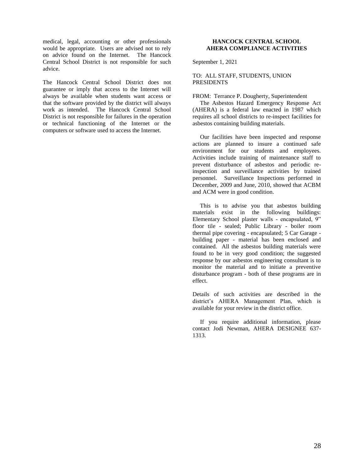medical, legal, accounting or other professionals would be appropriate. Users are advised not to rely on advice found on the Internet. The Hancock Central School District is not responsible for such advice.

The Hancock Central School District does not guarantee or imply that access to the Internet will always be available when students want access or that the software provided by the district will always work as intended. The Hancock Central School District is not responsible for failures in the operation or technical functioning of the Internet or the computers or software used to access the Internet.

# **HANCOCK CENTRAL SCHOOL AHERA COMPLIANCE ACTIVITIES**

September 1, 2021

### TO: ALL STAFF, STUDENTS, UNION PRESIDENTS

FROM: Terrance P. Dougherty, Superintendent

 The Asbestos Hazard Emergency Response Act (AHERA) is a federal law enacted in 1987 which requires all school districts to re-inspect facilities for asbestos containing building materials.

 Our facilities have been inspected and response actions are planned to insure a continued safe environment for our students and employees. Activities include training of maintenance staff to prevent disturbance of asbestos and periodic reinspection and surveillance activities by trained personnel. Surveillance Inspections performed in December, 2009 and June, 2010, showed that ACBM and ACM were in good condition.

 This is to advise you that asbestos building materials exist in the following buildings: Elementary School plaster walls - encapsulated, 9" floor tile - sealed; Public Library - boiler room thermal pipe covering - encapsulated; 5 Car Garage building paper - material has been enclosed and contained. All the asbestos building materials were found to be in very good condition; the suggested response by our asbestos engineering consultant is to monitor the material and to initiate a preventive disturbance program - both of these programs are in effect.

Details of such activities are described in the district's AHERA Management Plan, which is available for your review in the district office.

 If you require additional information, please contact Jodi Newman, AHERA DESIGNEE 637- 1313.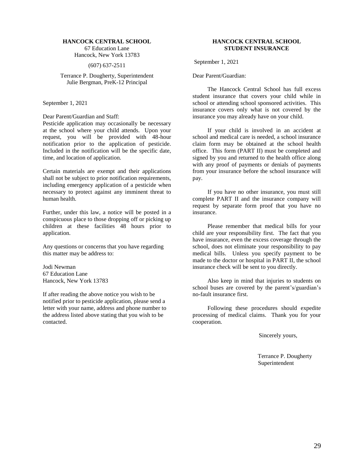#### **HANCOCK CENTRAL SCHOOL**

67 Education Lane Hancock, New York 13783

(607) 637-2511

Terrance P. Dougherty, Superintendent Julie Bergman, PreK-12 Principal

September 1, 2021

Dear Parent/Guardian and Staff:

Pesticide application may occasionally be necessary at the school where your child attends. Upon your request, you will be provided with 48-hour notification prior to the application of pesticide. Included in the notification will be the specific date, time, and location of application.

Certain materials are exempt and their applications shall not be subject to prior notification requirements, including emergency application of a pesticide when necessary to protect against any imminent threat to human health.

Further, under this law, a notice will be posted in a conspicuous place to those dropping off or picking up children at these facilities 48 hours prior to application.

Any questions or concerns that you have regarding this matter may be address to:

Jodi Newman 67 Education Lane Hancock, New York 13783

If after reading the above notice you wish to be notified prior to pesticide application, please send a letter with your name, address and phone number to the address listed above stating that you wish to be contacted.

### **HANCOCK CENTRAL SCHOOL STUDENT INSURANCE**

September 1, 2021

Dear Parent/Guardian:

 The Hancock Central School has full excess student insurance that covers your child while in school or attending school sponsored activities. This insurance covers only what is not covered by the insurance you may already have on your child.

 If your child is involved in an accident at school and medical care is needed, a school insurance claim form may be obtained at the school health office. This form (PART II) must be completed and signed by you and returned to the health office along with any proof of payments or denials of payments from your insurance before the school insurance will pay.

 If you have no other insurance, you must still complete PART II and the insurance company will request by separate form proof that you have no insurance.

 Please remember that medical bills for your child are your responsibility first. The fact that you have insurance, even the excess coverage through the school, does not eliminate your responsibility to pay medical bills. Unless you specify payment to be made to the doctor or hospital in PART II, the school insurance check will be sent to you directly.

 Also keep in mind that injuries to students on school buses are covered by the parent's/guardian's no-fault insurance first.

 Following these procedures should expedite processing of medical claims. Thank you for your cooperation.

Sincerely yours,

 Terrance P. Dougherty Superintendent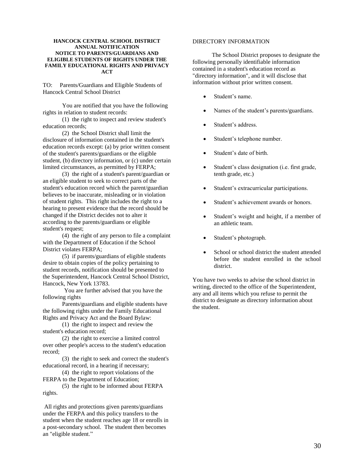#### **HANCOCK CENTRAL SCHOOL DISTRICT ANNUAL NOTIFICATION NOTICE TO PARENTS/GUARDIANS AND ELIGIBLE STUDENTS OF RIGHTS UNDER THE FAMILY EDUCATIONAL RIGHTS AND PRIVACY ACT**

TO: Parents/Guardians and Eligible Students of Hancock Central School District

 You are notified that you have the following rights in relation to student records:

 (1) the right to inspect and review student's education records;

 (2) the School District shall limit the disclosure of information contained in the student's education records except: (a) by prior written consent of the student's parents/guardians or the eligible student, (b) directory information, or (c) under certain limited circumstances, as permitted by FERPA;

 (3) the right of a student's parent/guardian or an eligible student to seek to correct parts of the student's education record which the parent/guardian believes to be inaccurate, misleading or in violation of student rights. This right includes the right to a hearing to present evidence that the record should be changed if the District decides not to alter it according to the parents/guardians or eligible student's request;

 (4) the right of any person to file a complaint with the Department of Education if the School District violates FERPA;

 (5) if parents/guardians of eligible students desire to obtain copies of the policy pertaining to student records, notification should be presented to the Superintendent, Hancock Central School District, Hancock, New York 13783.

You are further advised that you have the following rights

 Parents/guardians and eligible students have the following rights under the Family Educational Rights and Privacy Act and the Board Bylaw:

 (1) the right to inspect and review the student's education record;

 (2) the right to exercise a limited control over other people's access to the student's education record;

 (3) the right to seek and correct the student's educational record, in a hearing if necessary;

 (4) the right to report violations of the FERPA to the Department of Education;

 (5) the right to be informed about FERPA rights.

All rights and protections given parents/guardians under the FERPA and this policy transfers to the student when the student reaches age 18 or enrolls in a post-secondary school. The student then becomes an "eligible student."

#### DIRECTORY INFORMATION

 The School District proposes to designate the following personally identifiable information contained in a student's education record as "directory information", and it will disclose that information without prior written consent.

- Student's name.
- Names of the student's parents/guardians.
- Student's address.
- Student's telephone number.
- Student's date of birth.
- Student's class designation (i.e. first grade, tenth grade, etc.)
- Student's extracurricular participations.
- Student's achievement awards or honors.
- Student's weight and height, if a member of an athletic team.
- Student's photograph.
- School or school district the student attended before the student enrolled in the school district.

You have two weeks to advise the school district in writing, directed to the office of the Superintendent, any and all items which you refuse to permit the district to designate as directory information about the student.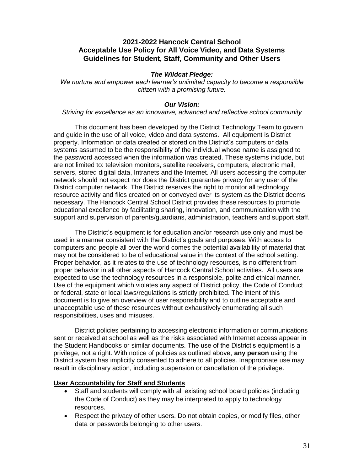# **2021-2022 Hancock Central School Acceptable Use Policy for All Voice Video, and Data Systems Guidelines for Student, Staff, Community and Other Users**

# *The Wildcat Pledge:*

*We nurture and empower each learner's unlimited capacity to become a responsible citizen with a promising future.*

# *Our Vision:*

# *Striving for excellence as an innovative, advanced and reflective school community*

This document has been developed by the District Technology Team to govern and guide in the use of all voice, video and data systems. All equipment is District property. Information or data created or stored on the District's computers or data systems assumed to be the responsibility of the individual whose name is assigned to the password accessed when the information was created. These systems include, but are not limited to: television monitors, satellite receivers, computers, electronic mail, servers, stored digital data, Intranets and the Internet. All users accessing the computer network should not expect nor does the District guarantee privacy for any user of the District computer network. The District reserves the right to monitor all technology resource activity and files created on or conveyed over its system as the District deems necessary. The Hancock Central School District provides these resources to promote educational excellence by facilitating sharing, innovation, and communication with the support and supervision of parents/guardians, administration, teachers and support staff.

The District's equipment is for education and/or research use only and must be used in a manner consistent with the District's goals and purposes. With access to computers and people all over the world comes the potential availability of material that may not be considered to be of educational value in the context of the school setting. Proper behavior, as it relates to the use of technology resources, is no different from proper behavior in all other aspects of Hancock Central School activities. All users are expected to use the technology resources in a responsible, polite and ethical manner. Use of the equipment which violates any aspect of District policy, the Code of Conduct or federal, state or local laws/regulations is strictly prohibited. The intent of this document is to give an overview of user responsibility and to outline acceptable and unacceptable use of these resources without exhaustively enumerating all such responsibilities, uses and misuses.

District policies pertaining to accessing electronic information or communications sent or received at school as well as the risks associated with Internet access appear in the Student Handbooks or similar documents. The use of the District's equipment is a privilege, not a right. With notice of policies as outlined above, **any person** using the District system has implicitly consented to adhere to all policies. Inappropriate use may result in disciplinary action, including suspension or cancellation of the privilege.

# **User Accountability for Staff and Students**

- Staff and students will comply with all existing school board policies (including the Code of Conduct) as they may be interpreted to apply to technology resources.
- Respect the privacy of other users. Do not obtain copies, or modify files, other data or passwords belonging to other users.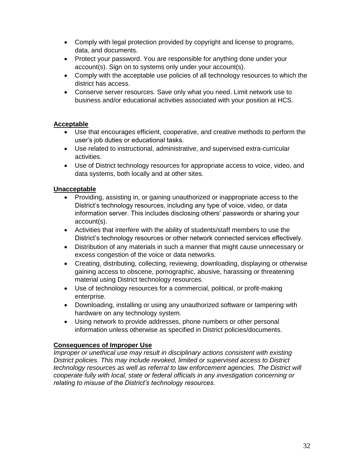- Comply with legal protection provided by copyright and license to programs, data, and documents.
- Protect your password. You are responsible for anything done under your account(s). Sign on to systems only under your account(s).
- Comply with the acceptable use policies of all technology resources to which the district has access.
- Conserve server resources. Save only what you need. Limit network use to business and/or educational activities associated with your position at HCS.

# **Acceptable**

- Use that encourages efficient, cooperative, and creative methods to perform the user's job duties or educational tasks.
- Use related to instructional, administrative, and supervised extra-curricular activities.
- Use of District technology resources for appropriate access to voice, video, and data systems, both locally and at other sites.

# **Unacceptable**

- Providing, assisting in, or gaining unauthorized or inappropriate access to the District's technology resources, including any type of voice, video, or data information server. This includes disclosing others' passwords or sharing your account(s).
- Activities that interfere with the ability of students/staff members to use the District's technology resources or other network connected services effectively.
- Distribution of any materials in such a manner that might cause unnecessary or excess congestion of the voice or data networks.
- Creating, distributing, collecting, reviewing, downloading, displaying or otherwise gaining access to obscene, pornographic, abusive, harassing or threatening material using District technology resources.
- Use of technology resources for a commercial, political, or profit-making enterprise.
- Downloading, installing or using any unauthorized software or tampering with hardware on any technology system.
- Using network to provide addresses, phone numbers or other personal information unless otherwise as specified in District policies/documents.

# **Consequences of Improper Use**

*Improper or unethical use may result in disciplinary actions consistent with existing District policies. This may include revoked, limited or supervised access to District technology resources as well as referral to law enforcement agencies. The District will cooperate fully with local, state or federal officials in any investigation concerning or relating to misuse of the District's technology resources.*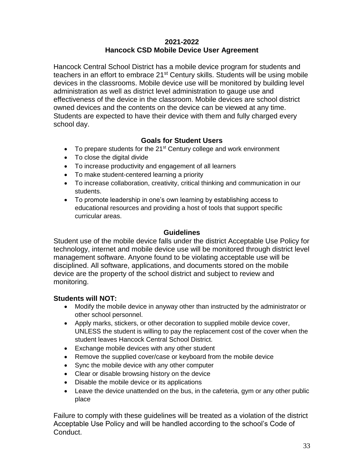# **2021-2022 Hancock CSD Mobile Device User Agreement**

Hancock Central School District has a mobile device program for students and teachers in an effort to embrace 21<sup>st</sup> Century skills. Students will be using mobile devices in the classrooms. Mobile device use will be monitored by building level administration as well as district level administration to gauge use and effectiveness of the device in the classroom. Mobile devices are school district owned devices and the contents on the device can be viewed at any time. Students are expected to have their device with them and fully charged every school day.

# **Goals for Student Users**

- To prepare students for the  $21<sup>st</sup>$  Century college and work environment
- To close the digital divide
- To increase productivity and engagement of all learners
- To make student-centered learning a priority
- To increase collaboration, creativity, critical thinking and communication in our students.
- To promote leadership in one's own learning by establishing access to educational resources and providing a host of tools that support specific curricular areas.

# **Guidelines**

Student use of the mobile device falls under the district Acceptable Use Policy for technology, internet and mobile device use will be monitored through district level management software. Anyone found to be violating acceptable use will be disciplined. All software, applications, and documents stored on the mobile device are the property of the school district and subject to review and monitoring.

# **Students will NOT:**

- Modify the mobile device in anyway other than instructed by the administrator or other school personnel.
- Apply marks, stickers, or other decoration to supplied mobile device cover, UNLESS the student is willing to pay the replacement cost of the cover when the student leaves Hancock Central School District.
- Exchange mobile devices with any other student
- Remove the supplied cover/case or keyboard from the mobile device
- Sync the mobile device with any other computer
- Clear or disable browsing history on the device
- Disable the mobile device or its applications
- Leave the device unattended on the bus, in the cafeteria, gym or any other public place

Failure to comply with these guidelines will be treated as a violation of the district Acceptable Use Policy and will be handled according to the school's Code of Conduct.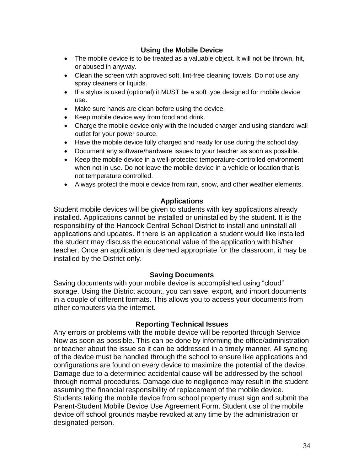# **Using the Mobile Device**

- The mobile device is to be treated as a valuable object. It will not be thrown, hit, or abused in anyway.
- Clean the screen with approved soft, lint-free cleaning towels. Do not use any spray cleaners or liquids.
- If a stylus is used (optional) it MUST be a soft type designed for mobile device use.
- Make sure hands are clean before using the device.
- Keep mobile device way from food and drink.
- Charge the mobile device only with the included charger and using standard wall outlet for your power source.
- Have the mobile device fully charged and ready for use during the school day.
- Document any software/hardware issues to your teacher as soon as possible.
- Keep the mobile device in a well-protected temperature-controlled environment when not in use. Do not leave the mobile device in a vehicle or location that is not temperature controlled.
- Always protect the mobile device from rain, snow, and other weather elements.

# **Applications**

Student mobile devices will be given to students with key applications already installed. Applications cannot be installed or uninstalled by the student. It is the responsibility of the Hancock Central School District to install and uninstall all applications and updates. If there is an application a student would like installed the student may discuss the educational value of the application with his/her teacher. Once an application is deemed appropriate for the classroom, it may be installed by the District only.

# **Saving Documents**

Saving documents with your mobile device is accomplished using "cloud" storage. Using the District account, you can save, export, and import documents in a couple of different formats. This allows you to access your documents from other computers via the internet.

# **Reporting Technical Issues**

Any errors or problems with the mobile device will be reported through Service Now as soon as possible. This can be done by informing the office/administration or teacher about the issue so it can be addressed in a timely manner. All syncing of the device must be handled through the school to ensure like applications and configurations are found on every device to maximize the potential of the device. Damage due to a determined accidental cause will be addressed by the school through normal procedures. Damage due to negligence may result in the student assuming the financial responsibility of replacement of the mobile device. Students taking the mobile device from school property must sign and submit the Parent-Student Mobile Device Use Agreement Form. Student use of the mobile device off school grounds maybe revoked at any time by the administration or designated person.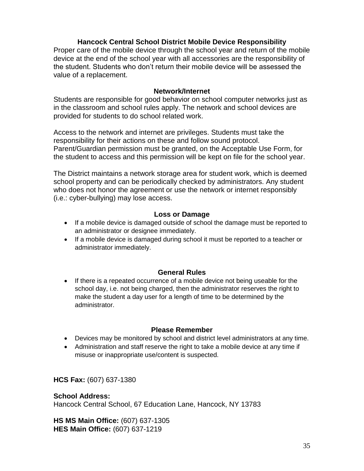# **Hancock Central School District Mobile Device Responsibility**

Proper care of the mobile device through the school year and return of the mobile device at the end of the school year with all accessories are the responsibility of the student. Students who don't return their mobile device will be assessed the value of a replacement.

# **Network/Internet**

Students are responsible for good behavior on school computer networks just as in the classroom and school rules apply. The network and school devices are provided for students to do school related work.

Access to the network and internet are privileges. Students must take the responsibility for their actions on these and follow sound protocol. Parent/Guardian permission must be granted, on the Acceptable Use Form, for the student to access and this permission will be kept on file for the school year.

The District maintains a network storage area for student work, which is deemed school property and can be periodically checked by administrators. Any student who does not honor the agreement or use the network or internet responsibly (i.e.: cyber-bullying) may lose access.

# **Loss or Damage**

- If a mobile device is damaged outside of school the damage must be reported to an administrator or designee immediately.
- If a mobile device is damaged during school it must be reported to a teacher or administrator immediately.

# **General Rules**

• If there is a repeated occurrence of a mobile device not being useable for the school day, i.e. not being charged, then the administrator reserves the right to make the student a day user for a length of time to be determined by the administrator.

# **Please Remember**

- Devices may be monitored by school and district level administrators at any time.
- Administration and staff reserve the right to take a mobile device at any time if misuse or inappropriate use/content is suspected.

**HCS Fax:** (607) 637-1380

# **School Address:**

Hancock Central School, 67 Education Lane, Hancock, NY 13783

**HS MS Main Office:** (607) 637-1305 **HES Main Office:** (607) 637-1219